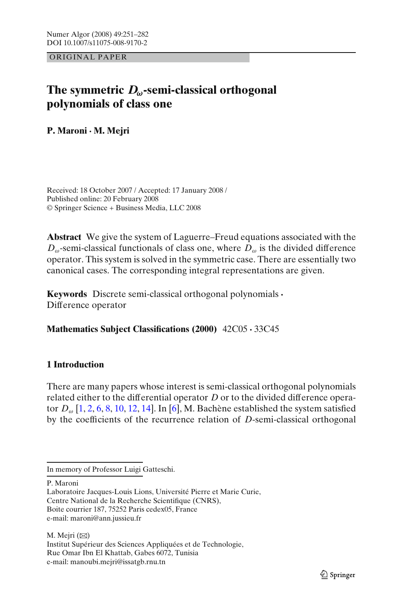ORIGINAL PAPER

# **The symmetric** *Dω***-semi-classical orthogonal polynomials of class one**

**P. Maroni · M. Mejri**

Received: 18 October 2007 / Accepted: 17 January 2008 / Published online: 20 February 2008 © Springer Science + Business Media, LLC 2008

**Abstract** We give the system of Laguerre–Freud equations associated with the  $D_{\omega}$ -semi-classical functionals of class one, where  $D_{\omega}$  is the divided difference operator. This system is solved in the symmetric case. There are essentially two canonical cases. The corresponding integral representations are given.

**Keywords** Discrete semi-classical orthogonal polynomials **·** Difference operator

# **Mathematics Subject Classifications (2000)** 42C05 **·** 33C45

# **1 Introduction**

There are many papers whose interest is semi-classical orthogonal polynomials related either to the differential operator *D* or to the divided difference operator  $D_{\omega}$  [\[1,](#page-30-0) [2,](#page-30-0) [6](#page-30-0), [8](#page-30-0), [10,](#page-30-0) [12,](#page-31-0) [14](#page-31-0)]. In [\[6\]](#page-30-0), M. Bachène established the system satisfied by the coefficients of the recurrence relation of *D*-semi-classical orthogonal

P. Maroni

Laboratoire Jacques-Louis Lions, Université Pierre et Marie Curie, Centre National de la Recherche Scientifique (CNRS), Boite courrier 187, 75252 Paris cedex05, France e-mail: maroni@ann.jussieu.fr

M. Mejri  $(\boxtimes)$ 

Institut Supérieur des Sciences Appliquées et de Technologie, Rue Omar Ibn El Khattab, Gabes 6072, Tunisia e-mail: manoubi.mejri@issatgb.rnu.tn

In memory of Professor Luigi Gatteschi.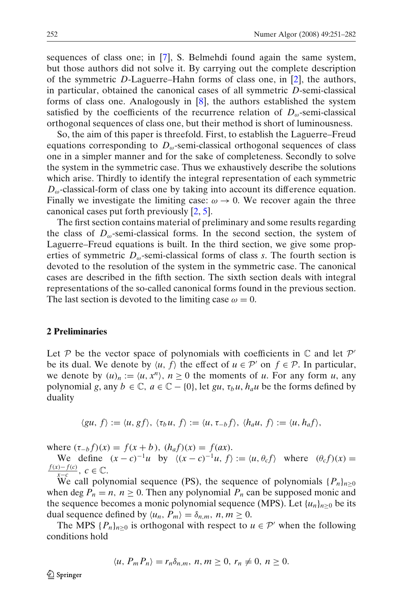sequences of class one; in [\[7\]](#page-30-0), S. Belmehdi found again the same system, but those authors did not solve it. By carrying out the complete description of the symmetric *D*-Laguerre–Hahn forms of class one, in [\[2](#page-30-0)], the authors, in particular, obtained the canonical cases of all symmetric *D*-semi-classical forms of class one. Analogously in [\[8\]](#page-30-0), the authors established the system satisfied by the coefficients of the recurrence relation of  $D_{\omega}$ -semi-classical orthogonal sequences of class one, but their method is short of luminousness.

So, the aim of this paper is threefold. First, to establish the Laguerre–Freud equations corresponding to  $D_{\omega}$ -semi-classical orthogonal sequences of class one in a simpler manner and for the sake of completeness. Secondly to solve the system in the symmetric case. Thus we exhaustively describe the solutions which arise. Thirdly to identify the integral representation of each symmetric  $D_{\omega}$ -classical-form of class one by taking into account its difference equation. Finally we investigate the limiting case:  $\omega \rightarrow 0$ . We recover again the three canonical cases put forth previously [\[2](#page-30-0), [5](#page-30-0)].

The first section contains material of preliminary and some results regarding the class of  $D_{\omega}$ -semi-classical forms. In the second section, the system of Laguerre–Freud equations is built. In the third section, we give some properties of symmetric  $D_{\omega}$ -semi-classical forms of class *s*. The fourth section is devoted to the resolution of the system in the symmetric case. The canonical cases are described in the fifth section. The sixth section deals with integral representations of the so-called canonical forms found in the previous section. The last section is devoted to the limiting case  $\omega = 0$ .

#### **2 Preliminaries**

Let P be the vector space of polynomials with coefficients in  $\mathbb C$  and let P' be its dual. We denote by  $\langle u, f \rangle$  the effect of  $u \in \mathcal{P}'$  on  $f \in \mathcal{P}$ . In particular, we denote by  $(u)_n := \langle u, x^n \rangle$ ,  $n \geq 0$  the moments of *u*. For any form *u*, any polynomial *g*, any  $b \in \mathbb{C}$ ,  $a \in \mathbb{C} - \{0\}$ , let *gu*,  $\tau_b u$ ,  $h_a u$  be the forms defined by duality

$$
\langle gu, f \rangle := \langle u, gf \rangle, \langle \tau_b u, f \rangle := \langle u, \tau_{-b} f \rangle, \langle h_a u, f \rangle := \langle u, h_a f \rangle,
$$

where  $(\tau_{-b} f)(x) = f(x + b)$ ,  $(h_a f)(x) = f(ax)$ .

We define  $(x - c)^{-1}u$  by  $\langle (x - c)^{-1}u, f \rangle := \langle u, \theta_c f \rangle$  where  $(\theta_c f)(x) =$  $\frac{f(x)-f(c)}{x-c}$ , *c* ∈ ℂ.

We call polynomial sequence (PS), the sequence of polynomials  $\{P_n\}_{n>0}$ when deg  $P_n = n$ ,  $n \ge 0$ . Then any polynomial  $P_n$  can be supposed monic and the sequence becomes a monic polynomial sequence (MPS). Let  $\{u_n\}_{n\geq 0}$  be its dual sequence defined by  $\langle u_n, P_m \rangle = \delta_{n,m}, n, m \ge 0.$ 

The MPS  ${P_n}_{n>0}$  is orthogonal with respect to  $u \in \mathcal{P}'$  when the following conditions hold

$$
\langle u, P_m P_n \rangle = r_n \delta_{n,m}, n, m \ge 0, r_n \ne 0, n \ge 0.
$$

*A* Springer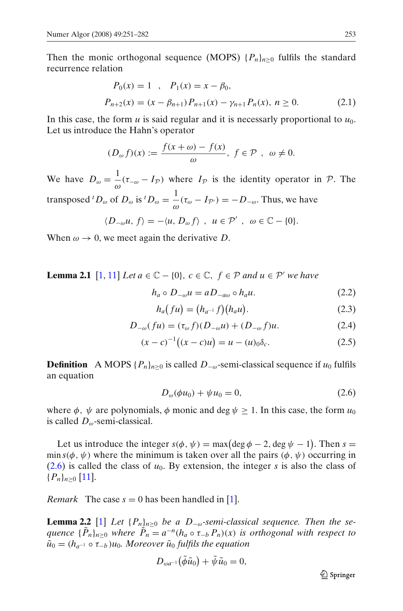<span id="page-2-0"></span>Then the monic orthogonal sequence (MOPS)  $\{P_n\}_{n>0}$  fulfils the standard recurrence relation

$$
P_0(x) = 1, \quad P_1(x) = x - \beta_0,
$$
  

$$
P_{n+2}(x) = (x - \beta_{n+1}) P_{n+1}(x) - \gamma_{n+1} P_n(x), \quad n \ge 0.
$$
 (2.1)

In this case, the form  $u$  is said regular and it is necessarly proportional to  $u_0$ . Let us introduce the Hahn's operator

$$
(D_{\omega} f)(x) := \frac{f(x + \omega) - f(x)}{\omega}, \ f \in \mathcal{P}, \ \omega \neq 0.
$$

We have  $D_{\omega} = \frac{1}{\omega}(\tau_{-\omega} - I_{\mathcal{P}})$  where  $I_{\mathcal{P}}$  is the identity operator in  $\mathcal{P}$ . The transposed <sup>*t*</sup> $D_{\omega}$  of  $D_{\omega}$  is <sup>*t*</sup> $D_{\omega} = \frac{1}{\omega} (\tau_{\omega} - I_{\mathcal{P'}}) = -D_{-\omega}$ . Thus, we have

$$
\langle D_{-\omega}u, f\rangle = -\langle u, D_{\omega}f\rangle \, , \, u \in \mathcal{P}' \, , \, \omega \in \mathbb{C} - \{0\}.
$$

When  $\omega \rightarrow 0$ , we meet again the derivative *D*.

**Lemma 2.1** [\[1,](#page-30-0) [11\]](#page-31-0) *Let a* ∈  $\mathbb{C} - \{0\}$ , *c* ∈  $\mathbb{C}$ , *f* ∈  $\mathcal{P}$  *and u* ∈  $\mathcal{P}'$  *we have* 

$$
h_a \circ D_{-\omega} u = a D_{-a\omega} \circ h_a u. \tag{2.2}
$$

$$
h_a(fu) = (h_{a^{-1}}f)(h_a u). \tag{2.3}
$$

$$
D_{-\omega}(fu) = (\tau_{\omega}f)(D_{-\omega}u) + (D_{-\omega}f)u.
$$
 (2.4)

$$
(x-c)^{-1}((x-c)u) = u - (u)_0 \delta_c.
$$
 (2.5)

**Definition** A MOPS  $\{P_n\}_{n>0}$  is called  $D_{-\omega}$ -semi-classical sequence if  $u_0$  fulfils an equation

$$
D_{\omega}(\phi u_0) + \psi u_0 = 0, \tag{2.6}
$$

where  $\phi$ ,  $\psi$  are polynomials,  $\phi$  monic and deg  $\psi \geq 1$ . In this case, the form  $u_0$ is called *D*ω-semi-classical.

Let us introduce the integer  $s(\phi, \psi) = \max(\deg \phi - 2, \deg \psi - 1)$ . Then  $s =$ min  $s(\phi, \psi)$  where the minimum is taken over all the pairs  $(\phi, \psi)$  occurring in  $(2.6)$  is called the class of  $u_0$ . By extension, the integer *s* is also the class of  ${P_n}_{n>0}$  [\[11](#page-31-0)].

*Remark* The case  $s = 0$  has been handled in [\[1\]](#page-30-0).

**Lemma 2.2** [\[1\]](#page-30-0) *Let*  $\{P_n\}_{n>0}$  *be a D*<sub>−ω</sub>-semi-classical sequence. Then the se*quence*  ${\{\tilde{P}_n\}}_{n\geq0}$  *where*  $\tilde{P}_n = a^{-n}(h_a \circ \tau_{-b} P_n)(x)$  *is orthogonal with respect to*  $\tilde{u}_0 = (h_{a^{-1}} \circ \tau_{-b}) u_0$ . Moreover  $\tilde{u}_0$  fulfils the equation

$$
D_{\omega a^{-1}}(\tilde{\phi}\tilde{u}_0) + \tilde{\psi}\tilde{u}_0 = 0,
$$

2 Springer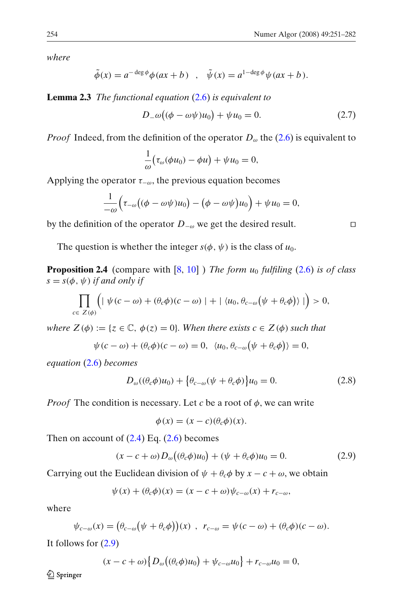*where*

$$
\tilde{\phi}(x) = a^{-\deg \phi} \phi(ax + b) \quad , \quad \tilde{\psi}(x) = a^{1 - \deg \phi} \psi(ax + b).
$$

**Lemma 2.3** *The functional equation* [\(2.6\)](#page-2-0) *is equivalent to*

$$
D_{-\omega}((\phi - \omega \psi)u_0) + \psi u_0 = 0. \qquad (2.7)
$$

*Proof* Indeed, from the definition of the operator  $D_{\omega}$  the [\(2.6\)](#page-2-0) is equivalent to

$$
\frac{1}{\omega}(\tau_{\omega}(\phi u_0) - \phi u) + \psi u_0 = 0,
$$

Applying the operator  $\tau_{-\omega}$ , the previous equation becomes

$$
\frac{1}{-\omega}\Big(\tau_{-\omega}\big((\phi-\omega\psi)u_0\big)-\big(\phi-\omega\psi\big)u_0\Big)+\psi u_0=0,
$$

by the definition of the operator *D*<sup>−</sup><sup>ω</sup> we get the desired result.

The question is whether the integer  $s(\phi, \psi)$  is the class of  $u_0$ .

**Proposition 2.4** (compare with  $[8, 10]$  $[8, 10]$  $[8, 10]$ ) *The form u<sub>0</sub> fulfiling* [\(2.6\)](#page-2-0) *is of class*  $s = s(\phi, \psi)$  *if and only if* 

$$
\prod_{c\in Z(\phi)} \Big( \mid \psi(c-\omega)+(\theta_c\phi)(c-\omega) \mid + \mid \langle u_0, \theta_{c-\omega}(\psi+\theta_c\phi) \rangle \mid \Big) > 0,
$$

*where*  $Z(\phi) := \{z \in \mathbb{C}, \phi(z) = 0\}$ *. When there exists*  $c \in Z(\phi)$  *such that* 

$$
\psi(c - \omega) + (\theta_c \phi)(c - \omega) = 0, \ \langle u_0, \theta_{c - \omega}(\psi + \theta_c \phi) \rangle = 0,
$$

*equation* [\(2.6\)](#page-2-0) *becomes*

$$
D_{\omega}((\theta_c \phi)u_0) + \{\theta_{c-\omega}(\psi + \theta_c \phi)\}u_0 = 0.
$$
 (2.8)

*Proof* The condition is necessary. Let *c* be a root of  $\phi$ , we can write

$$
\phi(x) = (x - c)(\theta_c \phi)(x).
$$

Then on account of  $(2.4)$  Eq.  $(2.6)$  becomes

$$
(x - c + \omega)D_{\omega}((\theta_c \phi)u_0) + (\psi + \theta_c \phi)u_0 = 0.
$$
 (2.9)

Carrying out the Euclidean division of  $\psi + \theta_c \phi$  by  $x - c + \omega$ , we obtain

$$
\psi(x) + (\theta_c \phi)(x) = (x - c + \omega)\psi_{c-\omega}(x) + r_{c-\omega},
$$

where

$$
\psi_{c-\omega}(x) = (\theta_{c-\omega}\big(\psi + \theta_c\phi\big))(x) , \quad r_{c-\omega} = \psi(c-\omega) + (\theta_c\phi)(c-\omega).
$$

It follows for (2.9)

$$
(x-c+\omega)\big\{D_{\omega}\big((\theta_c\phi)u_0\big)+\psi_{c-\omega}u_0\big\}+r_{c-\omega}u_0=0,
$$

*A* Springer

 $\Box$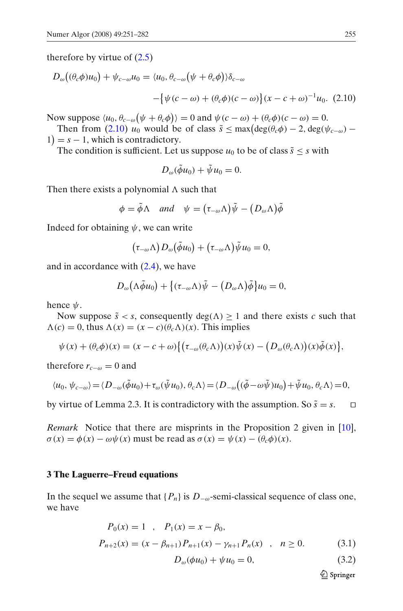<span id="page-4-0"></span>therefore by virtue of  $(2.5)$ 

$$
D_{\omega}((\theta_c \phi)u_0) + \psi_{c-\omega}u_0 = \langle u_0, \theta_{c-\omega}(\psi + \theta_c \phi) \rangle \delta_{c-\omega}
$$

$$
- \{\psi(c-\omega) + (\theta_c \phi)(c-\omega)\} (x-c+\omega)^{-1}u_0. \tag{2.10}
$$

Now suppose  $\langle u_0, \theta_{c-\omega}(\psi + \theta_c \phi) \rangle = 0$  and  $\psi(c - \omega) + (\theta_c \phi)(c - \omega) = 0$ .

Then from (2.10)  $u_0$  would be of class  $\tilde{s} \leq \max(\deg(\theta_c \phi) - 2, \deg(\psi_{c-\omega}) 1$ ) =  $s - 1$ , which is contradictory.

The condition is sufficient. Let us suppose  $u_0$  to be of class  $\tilde{s} < s$  with

$$
D_{\omega}(\tilde{\phi}u_0) + \tilde{\psi}u_0 = 0.
$$

Then there exists a polynomial  $\Lambda$  such that

$$
\phi = \tilde{\phi} \Lambda \quad and \quad \psi = (\tau_{-\omega} \Lambda) \tilde{\psi} - (D_{\omega} \Lambda) \tilde{\phi}
$$

Indeed for obtaining  $\psi$ , we can write

$$
(\tau_{-\omega}\Lambda)D_{\omega}(\tilde{\phi}u_0)+(\tau_{-\omega}\Lambda)\tilde{\psi}u_0=0,
$$

and in accordance with  $(2.4)$ , we have

$$
D_{\omega}(\Lambda \tilde{\phi} u_0) + \{(\tau_{-\omega} \Lambda) \tilde{\psi} - (D_{\omega} \Lambda) \tilde{\phi}\} u_0 = 0,
$$

hence  $\psi$ .

Now suppose  $\tilde{s} < s$ , consequently  $deg(\Lambda) \geq 1$  and there exists *c* such that  $\Lambda(c) = 0$ , thus  $\Lambda(x) = (x - c)(\theta_c \Lambda)(x)$ . This implies

$$
\psi(x) + (\theta_c \phi)(x) = (x - c + \omega) \{ (\tau_{-\omega}(\theta_c \Lambda))(x) \tilde{\psi}(x) - (D_{\omega}(\theta_c \Lambda))(x) \tilde{\phi}(x) \},
$$

therefore  $r_{c-\omega} = 0$  and

$$
\langle u_0, \psi_{c-\omega} \rangle = \langle D_{-\omega}(\tilde{\phi}u_0) + \tau_{\omega}(\tilde{\psi}u_0), \theta_c \Lambda \rangle = \langle D_{-\omega}((\tilde{\phi} - \omega \tilde{\psi})u_0) + \tilde{\psi}u_0, \theta_c \Lambda \rangle = 0,
$$

by virtue of Lemma 2.3. It is contradictory with the assumption. So  $\tilde{s} = s$ .  $\Box$ 

*Remark* Notice that there are misprints in the Proposition 2 given in [\[10\]](#page-30-0),  $\sigma(x) = \phi(x) - \omega \psi(x)$  must be read as  $\sigma(x) = \psi(x) - (\theta_c \phi)(x)$ .

#### **3 The Laguerre–Freud equations**

In the sequel we assume that  ${P_n}$  is  $D_{-\omega}$ -semi-classical sequence of class one, we have

$$
P_0(x) = 1 \quad , \quad P_1(x) = x - \beta_0,
$$
  

$$
P_{n+2}(x) = (x - \beta_{n+1}) P_{n+1}(x) - \gamma_{n+1} P_n(x) \quad , \quad n \ge 0.
$$
 (3.1)

 $D_{\omega}(\phi u_0) + \psi u_0 = 0,$  (3.2)

 $\mathcal{Q}$  Springer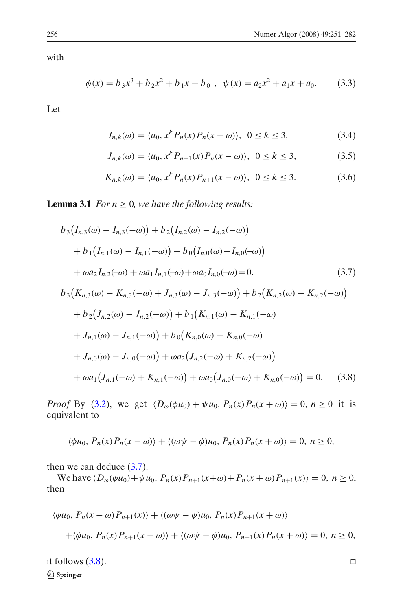<span id="page-5-0"></span>with

$$
\phi(x) = b_3 x^3 + b_2 x^2 + b_1 x + b_0 , \quad \psi(x) = a_2 x^2 + a_1 x + a_0.
$$
 (3.3)

Let

$$
I_{n,k}(\omega) = \langle u_0, x^k P_n(x) P_n(x - \omega) \rangle, \ \ 0 \le k \le 3,
$$
\n
$$
(3.4)
$$

$$
J_{n,k}(\omega) = \langle u_0, x^k P_{n+1}(x) P_n(x - \omega) \rangle, \ \ 0 \le k \le 3,
$$
 (3.5)

$$
K_{n,k}(\omega) = \langle u_0, x^k P_n(x) P_{n+1}(x - \omega) \rangle, \ \ 0 \le k \le 3. \tag{3.6}
$$

**Lemma 3.1** *For*  $n \geq 0$ *, we have the following results:* 

$$
b_3(I_{n,3}(\omega) - I_{n,3}(-\omega)) + b_2(I_{n,2}(\omega) - I_{n,2}(-\omega))
$$
  
+ 
$$
b_1(I_{n,1}(\omega) - I_{n,1}(-\omega)) + b_0(I_{n,0}(\omega) - I_{n,0}(-\omega))
$$
  
+ 
$$
\omega a_2 I_{n,2}(-\omega) + \omega a_1 I_{n,1}(-\omega) + \omega a_0 I_{n,0}(-\omega) = 0.
$$
 (3.7)

$$
b_3(K_{n,3}(\omega) - K_{n,3}(-\omega) + J_{n,3}(\omega) - J_{n,3}(-\omega)) + b_2(K_{n,2}(\omega) - K_{n,2}(-\omega))
$$
  
+ 
$$
b_2(J_{n,2}(\omega) - J_{n,2}(-\omega)) + b_1(K_{n,1}(\omega) - K_{n,1}(-\omega))
$$
  
+ 
$$
J_{n,1}(\omega) - J_{n,1}(-\omega)) + b_0(K_{n,0}(\omega) - K_{n,0}(-\omega))
$$
  
+ 
$$
J_{n,0}(\omega) - J_{n,0}(-\omega)) + \omega a_2(J_{n,2}(-\omega) + K_{n,2}(-\omega))
$$
  
+ 
$$
\omega a_1(J_{n,1}(-\omega) + K_{n,1}(-\omega)) + \omega a_0(J_{n,0}(-\omega) + K_{n,0}(-\omega)) = 0.
$$
 (3.8)

*Proof* By [\(3.2\)](#page-4-0), we get  $\langle D_{\omega}( \phi u_0 ) + \psi u_0, P_n(x) P_n(x + \omega) \rangle = 0$ ,  $n \ge 0$  it is equivalent to

$$
\langle \phi u_0, P_n(x) P_n(x - \omega) \rangle + \langle (\omega \psi - \phi) u_0, P_n(x) P_n(x + \omega) \rangle = 0, n \ge 0,
$$

then we can deduce  $(3.7)$ .

We have  $\langle D_{\omega}(\phi u_0) + \psi u_0, P_n(x)P_{n+1}(x+\omega) + P_n(x + \omega)P_{n+1}(x) \rangle = 0, n ≥ 0,$ then

$$
\langle \phi u_0, P_n(x - \omega) P_{n+1}(x) \rangle + \langle (\omega \psi - \phi) u_0, P_n(x) P_{n+1}(x + \omega) \rangle
$$
  
+
$$
\langle \phi u_0, P_n(x) P_{n+1}(x - \omega) \rangle + \langle (\omega \psi - \phi) u_0, P_{n+1}(x) P_n(x + \omega) \rangle = 0, n \ge 0,
$$

it follows  $(3.8)$ . Springer

 $\Box$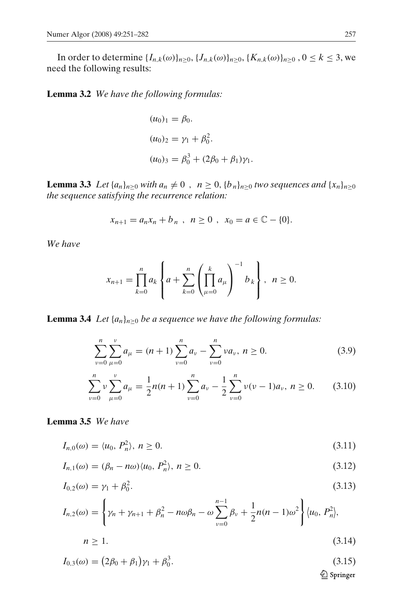<span id="page-6-0"></span>In order to determine  $\{I_{n,k}(\omega)\}_{n\geq 0}, \{J_{n,k}(\omega)\}_{n\geq 0}, \{K_{n,k}(\omega)\}_{n\geq 0}, 0 \leq k \leq 3$ , we need the following results:

**Lemma 3.2** *We have the following formulas:*

$$
(u0)1 = \beta0.
$$
  
\n
$$
(u0)2 = \gamma1 + \beta02.
$$
  
\n
$$
(u0)3 = \beta03 + (2\beta0 + \beta1)\gamma1.
$$

**Lemma 3.3** *Let*  $\{a_n\}_{n\geq 0}$  *with*  $a_n \neq 0$ ,  $n \geq 0$ ,  $\{b_n\}_{n\geq 0}$  *two sequences and*  $\{x_n\}_{n\geq 0}$ *the sequence satisfying the recurrence relation:*

$$
x_{n+1} = a_n x_n + b_n , \ \ n \ge 0 , \ \ x_0 = a \in \mathbb{C} - \{0\}.
$$

*We have*

$$
x_{n+1} = \prod_{k=0}^{n} a_k \left\{ a + \sum_{k=0}^{n} \left( \prod_{\mu=0}^{k} a_{\mu} \right)^{-1} b_k \right\}, \ \ n \ge 0.
$$

**Lemma 3.4** *Let*  $\{a_n\}_{n>0}$  *be a sequence we have the following formulas:* 

$$
\sum_{\nu=0}^{n} \sum_{\mu=0}^{\nu} a_{\mu} = (n+1) \sum_{\nu=0}^{n} a_{\nu} - \sum_{\nu=0}^{n} \nu a_{\nu}, \ n \ge 0.
$$
 (3.9)

$$
\sum_{\nu=0}^{n} \nu \sum_{\mu=0}^{\nu} a_{\mu} = \frac{1}{2} n(n+1) \sum_{\nu=0}^{n} a_{\nu} - \frac{1}{2} \sum_{\nu=0}^{n} \nu(\nu-1) a_{\nu}, \ n \ge 0. \tag{3.10}
$$

### **Lemma 3.5** *We have*

$$
I_{n,0}(\omega) = \langle u_0, P_n^2 \rangle, \ n \ge 0. \tag{3.11}
$$

$$
I_{n,1}(\omega) = (\beta_n - n\omega)\langle u_0, P_n^2 \rangle, n \ge 0.
$$
\n
$$
(3.12)
$$

$$
I_{0,2}(\omega) = \gamma_1 + \beta_0^2. \tag{3.13}
$$

$$
I_{n,2}(\omega) = \left\{ \gamma_n + \gamma_{n+1} + \beta_n^2 - n\omega\beta_n - \omega \sum_{\nu=0}^{n-1} \beta_\nu + \frac{1}{2}n(n-1)\omega^2 \right\} \langle u_0, P_n^2 \rangle,
$$

$$
n \ge 1. \tag{3.14}
$$

$$
I_{0,3}(\omega) = (2\beta_0 + \beta_1)\gamma_1 + \beta_0^3.
$$
\n
$$
(3.15)
$$
\n
$$
\underline{\textcircled{2} \text{ Springer}}
$$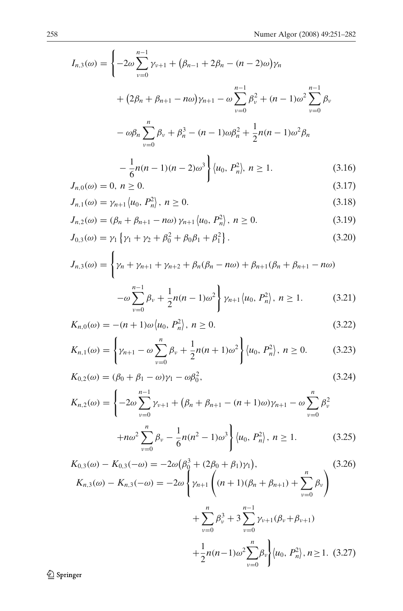<span id="page-7-0"></span>
$$
I_{n,3}(\omega) = \left\{ -2\omega \sum_{\nu=0}^{n-1} \gamma_{\nu+1} + (\beta_{n-1} + 2\beta_n - (n-2)\omega) \gamma_n \right.+ \left( 2\beta_n + \beta_{n+1} - n\omega \right) \gamma_{n+1} - \omega \sum_{\nu=0}^{n-1} \beta_{\nu}^2 + (n-1)\omega^2 \sum_{\nu=0}^{n-1} \beta_{\nu} \right.- \omega \beta_n \sum_{\nu=0}^n \beta_{\nu} + \beta_n^3 - (n-1)\omega \beta_n^2 + \frac{1}{2} n(n-1)\omega^2 \beta_n - \frac{1}{6} n(n-1)(n-2)\omega^3 \right\} \langle u_0, P_n^2 \rangle, \ n \ge 1.
$$
 (3.16)

$$
J_{n,0}(\omega) = 0, n \ge 0. \tag{3.17}
$$

$$
J_{n,1}(\omega) = \gamma_{n+1} \langle u_0, P_n^2 \rangle, \ n \ge 0. \tag{3.18}
$$

$$
J_{n,2}(\omega) = (\beta_n + \beta_{n+1} - n\omega) \gamma_{n+1} \langle u_0, P_n^2 \rangle, n \ge 0.
$$
 (3.19)

$$
J_{0,3}(\omega) = \gamma_1 \left\{ \gamma_1 + \gamma_2 + \beta_0^2 + \beta_0 \beta_1 + \beta_1^2 \right\}.
$$
 (3.20)

$$
J_{n,3}(\omega) = \left\{ \gamma_n + \gamma_{n+1} + \gamma_{n+2} + \beta_n(\beta_n - n\omega) + \beta_{n+1}(\beta_n + \beta_{n+1} - n\omega) - \omega \sum_{\nu=0}^{n-1} \beta_\nu + \frac{1}{2} n(n-1)\omega^2 \right\} \gamma_{n+1} \langle u_0, P_n^2 \rangle, \ n \ge 1.
$$
 (3.21)

$$
K_{n,0}(\omega) = -(n+1)\omega \langle u_0, P_n^2 \rangle, n \ge 0.
$$
\n(3.22)

$$
K_{n,1}(\omega) = \left\{ \gamma_{n+1} - \omega \sum_{\nu=0}^{n} \beta_{\nu} + \frac{1}{2} n(n+1)\omega^2 \right\} \langle u_0, P_n^2 \rangle, \ n \ge 0. \tag{3.23}
$$

$$
K_{0,2}(\omega) = (\beta_0 + \beta_1 - \omega)\gamma_1 - \omega\beta_0^2,
$$
\n(3.24)

$$
K_{n,2}(\omega) = \left\{-2\omega \sum_{\nu=0}^{n-1} \gamma_{\nu+1} + (\beta_n + \beta_{n+1} - (n+1)\omega)\gamma_{n+1} - \omega \sum_{\nu=0}^{n} \beta_{\nu}^2 + n\omega^2 \sum_{\nu=0}^{n} \beta_{\nu} - \frac{1}{6}n(n^2 - 1)\omega^3\right\} \langle u_0, P_n^2 \rangle, \ n \ge 1. \tag{3.25}
$$

 $v=0$ 

$$
K_{0,3}(\omega) - K_{0,3}(-\omega) = -2\omega \left(\beta_0^3 + (2\beta_0 + \beta_1)\gamma_1\right),
$$
  
\n
$$
K_{n,3}(\omega) - K_{n,3}(-\omega) = -2\omega \left\{\gamma_{n+1} \left((n+1)(\beta_n + \beta_{n+1}) + \sum_{\nu=0}^n \beta_\nu\right)\right\}
$$
  
\n
$$
+ \sum_{\nu=0}^n \beta_\nu^3 + 3 \sum_{\nu=0}^{n-1} \gamma_{\nu+1}(\beta_\nu + \beta_{\nu+1})
$$
  
\n
$$
+ \frac{1}{2}n(n-1)\omega^2 \sum_{\nu=0}^n \beta_\nu\left\{\langle u_0, P_n^2 \rangle, n \ge 1. (3.27)\right\}
$$

 $\underline{\textcircled{\tiny 2}}$  Springer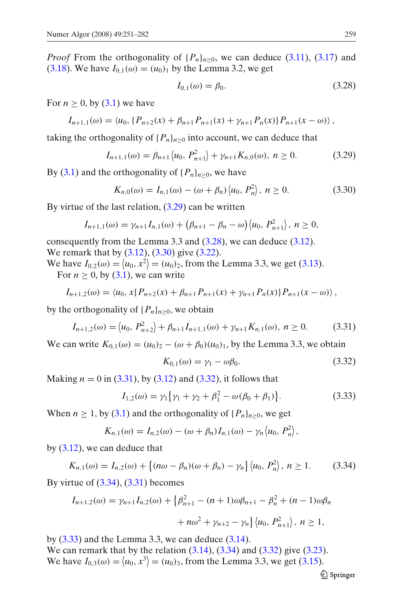*Proof* From the orthogonality of  $\{P_n\}_{n>0}$ , we can deduce [\(3.11\)](#page-6-0), [\(3.17\)](#page-7-0) and [\(3.18\)](#page-7-0). We have  $I_{0,1}(\omega) = (u_0)_1$  by the Lemma 3.2, we get

$$
I_{0,1}(\omega) = \beta_0. \tag{3.28}
$$

For  $n > 0$ , by  $(3.1)$  we have

$$
I_{n+1,1}(\omega) = \langle u_0, \{P_{n+2}(x) + \beta_{n+1}P_{n+1}(x) + \gamma_{n+1}P_n(x)\}P_{n+1}(x-\omega) \rangle,
$$

taking the orthogonality of  $\{P_n\}_{n\geq 0}$  into account, we can deduce that

$$
I_{n+1,1}(\omega) = \beta_{n+1} \langle u_0, P_{n+1}^2 \rangle + \gamma_{n+1} K_{n,0}(\omega), \ n \ge 0. \tag{3.29}
$$

By [\(3.1\)](#page-4-0) and the orthogonality of  ${P_n}_{n>0}$ , we have

$$
K_{n,0}(\omega) = I_{n,1}(\omega) - (\omega + \beta_n) \langle u_0, P_n^2 \rangle, n \ge 0.
$$
 (3.30)

By virtue of the last relation,  $(3.29)$  can be written

$$
I_{n+1,1}(\omega)=\gamma_{n+1}I_{n,1}(\omega)+(\beta_{n+1}-\beta_n-\omega)\langle u_0, P_{n+1}^2\rangle, n\geq 0,
$$

consequently from the Lemma 3.3 and (3.28), we can deduce [\(3.12\)](#page-6-0). We remark that by [\(3.12\)](#page-6-0), (3.30) give [\(3.22\)](#page-7-0).

We have  $I_{0,2}(\omega) = (u_0, x^2) = (u_0)_2$ , from the Lemma 3.3, we get [\(3.13\)](#page-6-0). For  $n \geq 0$ , by [\(3.1\)](#page-4-0), we can write

$$
I_{n+1,2}(\omega) = \langle u_0, x \{ P_{n+2}(x) + \beta_{n+1} P_{n+1}(x) + \gamma_{n+1} P_n(x) \} P_{n+1}(x - \omega) \rangle,
$$

by the orthogonality of  $\{P_n\}_{n>0}$ , we obtain

$$
I_{n+1,2}(\omega) = \langle u_0, P_{n+2}^2 \rangle + \beta_{n+1} I_{n+1,1}(\omega) + \gamma_{n+1} K_{n,1}(\omega), n \ge 0.
$$
 (3.31)

We can write  $K_{0,1}(\omega) = (u_0)_2 - (\omega + \beta_0)(u_0)_1$ , by the Lemma 3.3, we obtain

$$
K_{0,1}(\omega) = \gamma_1 - \omega \beta_0. \tag{3.32}
$$

Making  $n = 0$  in (3.31), by [\(3.12\)](#page-6-0) and (3.32), it follows that

$$
I_{1,2}(\omega) = \gamma_1 \{ \gamma_1 + \gamma_2 + \beta_1^2 - \omega(\beta_0 + \beta_1) \}.
$$
 (3.33)

When  $n \geq 1$ , by [\(3.1\)](#page-4-0) and the orthogonality of  $\{P_n\}_{n>0}$ , we get

$$
K_{n,1}(\omega) = I_{n,2}(\omega) - (\omega + \beta_n)I_{n,1}(\omega) - \gamma_n \langle u_0, P_n^2 \rangle,
$$

by  $(3.12)$ , we can deduce that

$$
K_{n,1}(\omega) = I_{n,2}(\omega) + \{(n\omega - \beta_n)(\omega + \beta_n) - \gamma_n\} \langle u_0, P_n^2 \rangle, n \ge 1.
$$
 (3.34)

By virtue of  $(3.34)$ ,  $(3.31)$  becomes

$$
I_{n+1,2}(\omega) = \gamma_{n+1} I_{n,2}(\omega) + \left\{ \beta_{n+1}^2 - (n+1)\omega \beta_{n+1} - \beta_n^2 + (n-1)\omega \beta_n \right\}
$$

$$
+ n\omega^2 + \gamma_{n+2} - \gamma_n \left\{ \left\langle u_0, P_{n+1}^2 \right\rangle, n \ge 1, \right\}
$$

by  $(3.33)$  and the Lemma 3.3, we can deduce  $(3.14)$ .

We can remark that by the relation  $(3.14)$ ,  $(3.34)$  and  $(3.32)$  give  $(3.23)$ . We have  $I_{0,3}(\omega) = (u_0, x^3) = (u_0)_3$ , from the Lemma 3.3, we get [\(3.15\)](#page-6-0).

 $\mathcal{Q}$  Springer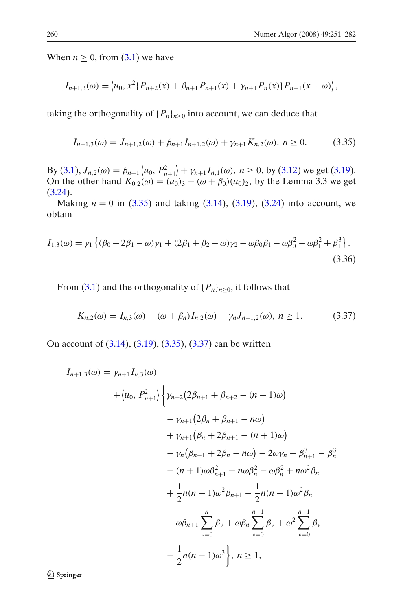<span id="page-9-0"></span>When  $n \geq 0$ , from [\(3.1\)](#page-4-0) we have

$$
I_{n+1,3}(\omega) = \langle u_0, x^2 \{ P_{n+2}(x) + \beta_{n+1} P_{n+1}(x) + \gamma_{n+1} P_n(x) \} P_{n+1}(x - \omega) \rangle,
$$

taking the orthogonality of  $\{P_n\}_{n>0}$  into account, we can deduce that

$$
I_{n+1,3}(\omega) = J_{n+1,2}(\omega) + \beta_{n+1} I_{n+1,2}(\omega) + \gamma_{n+1} K_{n,2}(\omega), \ n \ge 0. \tag{3.35}
$$

By [\(3.1\)](#page-4-0),  $J_{n,2}(\omega) = \beta_{n+1} \langle u_0, P_{n+1}^2 \rangle + \gamma_{n+1} I_{n,1}(\omega), n \ge 0$ , by [\(3.12\)](#page-6-0) we get [\(3.19\)](#page-7-0). On the other hand  $K_{0,2}(\omega) = (u_0)_3 - (\omega + \beta_0)(u_0)_2$ , by the Lemma 3.3 we get  $(3.24).$  $(3.24).$ 

Making  $n = 0$  in (3.35) and taking [\(3.14\)](#page-6-0), [\(3.19\)](#page-7-0), [\(3.24\)](#page-7-0) into account, we obtain

$$
I_{1,3}(\omega) = \gamma_1 \left\{ (\beta_0 + 2\beta_1 - \omega)\gamma_1 + (2\beta_1 + \beta_2 - \omega)\gamma_2 - \omega\beta_0\beta_1 - \omega\beta_0^2 - \omega\beta_1^2 + \beta_1^3 \right\}.
$$
\n(3.36)

From [\(3.1\)](#page-4-0) and the orthogonality of  $\{P_n\}_{n\geq 0}$ , it follows that

$$
K_{n,2}(\omega) = I_{n,3}(\omega) - (\omega + \beta_n)I_{n,2}(\omega) - \gamma_n J_{n-1,2}(\omega), \ n \ge 1. \tag{3.37}
$$

On account of [\(3.14\)](#page-6-0), [\(3.19\)](#page-7-0), (3.35), (3.37) can be written

$$
I_{n+1,3}(\omega) = \gamma_{n+1} I_{n,3}(\omega)
$$
  
+  $\langle u_0, P_{n+1}^2 \rangle \Biggl\{ \gamma_{n+2} (2\beta_{n+1} + \beta_{n+2} - (n+1)\omega) - \gamma_{n+1} (2\beta_n + \beta_{n+1} - n\omega) + \gamma_{n+1} (\beta_n + 2\beta_{n+1} - (n+1)\omega) - \gamma_n (\beta_{n-1} + 2\beta_n - n\omega) - 2\omega \gamma_n + \beta_{n+1}^3 - \beta_n^3 - (n+1)\omega \beta_{n+1}^2 + n\omega \beta_n^2 - \omega \beta_n^2 + n\omega^2 \beta_n + \frac{1}{2} n(n+1)\omega^2 \beta_{n+1} - \frac{1}{2} n(n-1)\omega^2 \beta_n - \omega \beta_{n+1} \sum_{\nu=0}^n \beta_\nu + \omega \beta_n \sum_{\nu=0}^{n-1} \beta_\nu + \omega^2 \sum_{\nu=0}^{n-1} \beta_\nu - \frac{1}{2} n(n-1)\omega^3 \Biggr\}, n \ge 1,$ 

2 Springer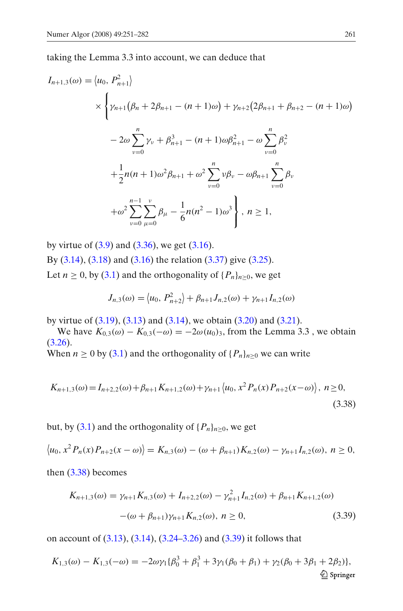taking the Lemma 3.3 into account, we can deduce that

$$
I_{n+1,3}(\omega) = \langle u_0, P_{n+1}^2 \rangle
$$
  
\n
$$
\times \left\{ \gamma_{n+1} (\beta_n + 2\beta_{n+1} - (n+1)\omega) + \gamma_{n+2} (2\beta_{n+1} + \beta_{n+2} - (n+1)\omega) \right\}
$$
  
\n
$$
- 2\omega \sum_{\nu=0}^n \gamma_{\nu} + \beta_{n+1}^3 - (n+1)\omega \beta_{n+1}^2 - \omega \sum_{\nu=0}^n \beta_{\nu}^2
$$
  
\n
$$
+ \frac{1}{2} n(n+1)\omega^2 \beta_{n+1} + \omega^2 \sum_{\nu=0}^n \nu \beta_{\nu} - \omega \beta_{n+1} \sum_{\nu=0}^n \beta_{\nu}
$$
  
\n
$$
+ \omega^2 \sum_{\nu=0}^{n-1} \sum_{\mu=0}^{\nu} \beta_{\mu} - \frac{1}{6} n(n^2 - 1)\omega^3 \right\}, n \ge 1,
$$

by virtue of  $(3.9)$  and  $(3.36)$ , we get  $(3.16)$ . By [\(3.14\)](#page-6-0), [\(3.18\)](#page-7-0) and [\(3.16\)](#page-7-0) the relation [\(3.37\)](#page-9-0) give [\(3.25\)](#page-7-0). Let  $n > 0$ , by [\(3.1\)](#page-4-0) and the orthogonality of  ${P_n}_{n \geq 0}$ , we get

$$
J_{n,3}(\omega) = \langle u_0, P_{n+2}^2 \rangle + \beta_{n+1} J_{n,2}(\omega) + \gamma_{n+1} I_{n,2}(\omega)
$$

by virtue of  $(3.19)$ ,  $(3.13)$  and  $(3.14)$ , we obtain  $(3.20)$  and  $(3.21)$ .

We have  $K_{0,3}(\omega) - K_{0,3}(-\omega) = -2\omega(u_0)_3$ , from the Lemma 3.3, we obtain  $(3.26).$  $(3.26).$ 

When  $n \ge 0$  by [\(3.1\)](#page-4-0) and the orthogonality of  $\{P_n\}_{n \ge 0}$  we can write

$$
K_{n+1,3}(\omega) = I_{n+2,2}(\omega) + \beta_{n+1} K_{n+1,2}(\omega) + \gamma_{n+1} \langle u_0, x^2 P_n(x) P_{n+2}(x - \omega) \rangle, \ n \ge 0,
$$
\n(3.38)

but, by [\(3.1\)](#page-4-0) and the orthogonality of  $\{P_n\}_{n>0}$ , we get

$$
\langle u_0, x^2 P_n(x) P_{n+2}(x - \omega) \rangle = K_{n,3}(\omega) - (\omega + \beta_{n+1}) K_{n,2}(\omega) - \gamma_{n+1} I_{n,2}(\omega), \ n \ge 0,
$$

then  $(3.38)$  becomes

$$
K_{n+1,3}(\omega) = \gamma_{n+1} K_{n,3}(\omega) + I_{n+2,2}(\omega) - \gamma_{n+1}^2 I_{n,2}(\omega) + \beta_{n+1} K_{n+1,2}(\omega)
$$

$$
-(\omega + \beta_{n+1})\gamma_{n+1} K_{n,2}(\omega), \ n \ge 0,
$$
(3.39)

on account of [\(3.13\)](#page-6-0), [\(3.14\)](#page-6-0), [\(3.24–3.26\)](#page-7-0) and (3.39) it follows that

$$
K_{1,3}(\omega) - K_{1,3}(-\omega) = -2\omega\gamma_1\{\beta_0^3 + \beta_1^3 + 3\gamma_1(\beta_0 + \beta_1) + \gamma_2(\beta_0 + 3\beta_1 + 2\beta_2)\},\
$$
  
  $\triangleq$  Springer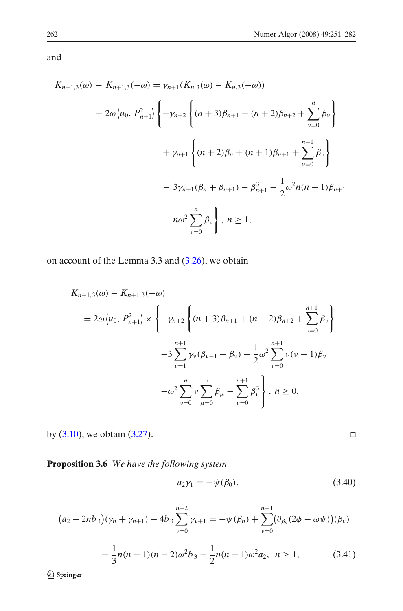<span id="page-11-0"></span>and

$$
K_{n+1,3}(\omega) - K_{n+1,3}(-\omega) = \gamma_{n+1}(K_{n,3}(\omega) - K_{n,3}(-\omega))
$$
  
+  $2\omega \langle u_0, P_{n+1}^2 \rangle \left\{ -\gamma_{n+2} \left\{ (n+3)\beta_{n+1} + (n+2)\beta_{n+2} + \sum_{v=0}^n \beta_v \right\} + \gamma_{n+1} \left\{ (n+2)\beta_n + (n+1)\beta_{n+1} + \sum_{v=0}^{n-1} \beta_v \right\}$   
-  $3\gamma_{n+1}(\beta_n + \beta_{n+1}) - \beta_{n+1}^3 - \frac{1}{2}\omega^2 n(n+1)\beta_{n+1}$   
-  $n\omega^2 \sum_{v=0}^n \beta_v \right\}, n \ge 1,$ 

on account of the Lemma 3.3 and [\(3.26\)](#page-7-0), we obtain

$$
K_{n+1,3}(\omega) - K_{n+1,3}(-\omega)
$$
  
=  $2\omega \langle u_0, P_{n+1}^2 \rangle \times \left\{ -\gamma_{n+2} \left\{ (n+3)\beta_{n+1} + (n+2)\beta_{n+2} + \sum_{\nu=0}^{n+1} \beta_{\nu} \right\} \right\}$   
 $-3 \sum_{\nu=1}^{n+1} \gamma_{\nu}(\beta_{\nu-1} + \beta_{\nu}) - \frac{1}{2} \omega^2 \sum_{\nu=0}^{n+1} \nu(\nu-1)\beta_{\nu}$   
 $-\omega^2 \sum_{\nu=0}^{n} \nu \sum_{\mu=0}^{\nu} \beta_{\mu} - \sum_{\nu=0}^{n+1} \beta_{\nu}^3 \right\}, n \ge 0,$ 

by  $(3.10)$ , we obtain  $(3.27)$ .

**Proposition 3.6** *We have the following system*

$$
a_2\gamma_1 = -\psi(\beta_0). \tag{3.40}
$$

 $\Box$ 

$$
(a_2 - 2nb_3)(\gamma_n + \gamma_{n+1}) - 4b_3 \sum_{\nu=0}^{n-2} \gamma_{\nu+1} = -\psi(\beta_n) + \sum_{\nu=0}^{n-1} (\theta_{\beta_n}(2\phi - \omega\psi))(\beta_\nu) + \frac{1}{3}n(n-1)(n-2)\omega^2b_3 - \frac{1}{2}n(n-1)\omega^2a_2, \quad n \ge 1,
$$
 (3.41)

 $\underline{\textcircled{\tiny 2}}$  Springer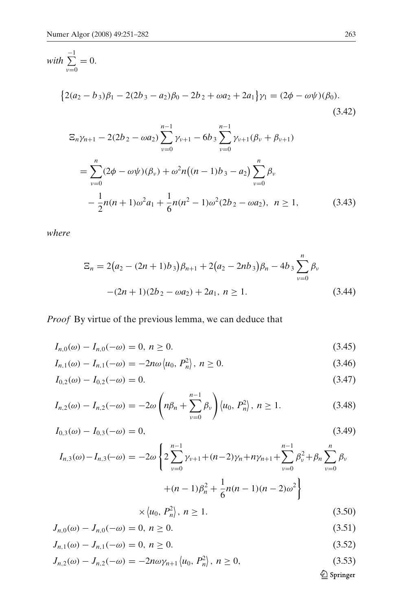<span id="page-12-0"></span>with 
$$
\sum_{\nu=0}^{-1} = 0
$$
.  
\n
$$
\{2(a_2 - b_3)\beta_1 - 2(2b_3 - a_2)\beta_0 - 2b_2 + \omega a_2 + 2a_1\}\gamma_1 = (2\phi - \omega\psi)(\beta_0).
$$
\n
$$
(3.42)
$$
\n
$$
\Xi_n \gamma_{n+1} - 2(2b_2 - \omega a_2) \sum_{\nu=0}^{n-1} \gamma_{\nu+1} - 6b_3 \sum_{\nu=0}^{n-1} \gamma_{\nu+1}(\beta_\nu + \beta_{\nu+1})
$$
\n
$$
n
$$

$$
= \sum_{\nu=0}^{n} (2\phi - \omega\psi)(\beta_{\nu}) + \omega^2 n((n-1)b_3 - a_2) \sum_{\nu=0}^{n} \beta_{\nu}
$$

$$
- \frac{1}{2}n(n+1)\omega^2 a_1 + \frac{1}{6}n(n^2 - 1)\omega^2(2b_2 - \omega a_2), \quad n \ge 1,
$$
(3.43)

*where*

$$
\Xi_n = 2(a_2 - (2n + 1)b_3)\beta_{n+1} + 2(a_2 - 2nb_3)\beta_n - 4b_3\sum_{\nu=0}^n \beta_\nu
$$
  
-(2n + 1)(2b\_2 - \omega a\_2) + 2a\_1, n \ge 1. (3.44)

# *Proof* By virtue of the previous lemma, we can deduce that

$$
I_{n,0}(\omega) - I_{n,0}(-\omega) = 0, \ n \ge 0. \tag{3.45}
$$

$$
I_{n,1}(\omega) - I_{n,1}(-\omega) = -2n\omega \langle u_0, P_n^2 \rangle, \ n \ge 0. \tag{3.46}
$$

$$
I_{0,2}(\omega) - I_{0,2}(-\omega) = 0. \tag{3.47}
$$

$$
I_{n,2}(\omega) - I_{n,2}(-\omega) = -2\omega \left( n\beta_n + \sum_{\nu=0}^{n-1} \beta_\nu \right) \langle u_0, P_n^2 \rangle, \ n \ge 1. \tag{3.48}
$$

$$
I_{0,3}(\omega) - I_{0,3}(-\omega) = 0, \tag{3.49}
$$

$$
I_{n,3}(\omega) - I_{n,3}(-\omega) = -2\omega \left\{ 2\sum_{\nu=0}^{n-1} \gamma_{\nu+1} + (n-2)\gamma_n + n\gamma_{n+1} + \sum_{\nu=0}^{n-1} \beta_{\nu}^2 + \beta_n \sum_{\nu=0}^n \beta_{\nu} + (n-1)\beta_n^2 + \frac{1}{6}n(n-1)(n-2)\omega^2 \right\}
$$

$$
\times \langle u_0, P_n^2 \rangle, n \ge 1. \tag{3.50}
$$

$$
J_{n,0}(\omega) - J_{n,0}(-\omega) = 0, \ n \ge 0. \tag{3.51}
$$

$$
J_{n,1}(\omega) - J_{n,1}(-\omega) = 0, \ n \ge 0. \tag{3.52}
$$

$$
J_{n,2}(\omega) - J_{n,2}(-\omega) = -2n\omega\gamma_{n+1} \langle u_0, P_n^2 \rangle, \ n \ge 0,
$$
\n(3.53)

 $\underline{\textcircled{\tiny 2}}$  Springer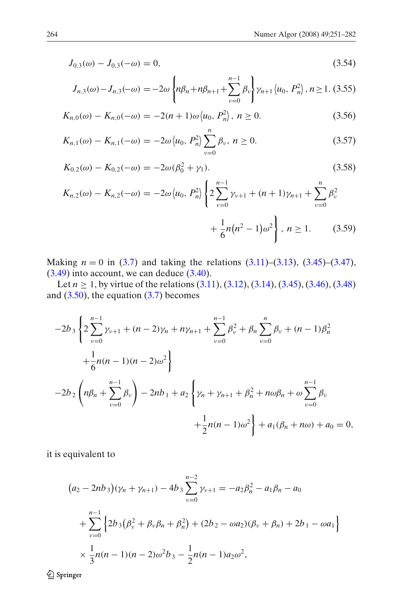<span id="page-13-0"></span>
$$
J_{0,3}(\omega) - J_{0,3}(-\omega) = 0,\t\t(3.54)
$$

$$
J_{n,3}(\omega) - J_{n,3}(-\omega) = -2\omega \left\{ n\beta_n + n\beta_{n+1} + \sum_{\nu=0}^{n-1} \beta_{\nu} \right\} \gamma_{n+1} \left\langle u_0, P_n^2 \right\rangle, n \ge 1. \tag{3.55}
$$

$$
K_{n,0}(\omega) - K_{n,0}(-\omega) = -2(n+1)\omega \langle u_0, P_n^2 \rangle, n \ge 0.
$$
 (3.56)

$$
K_{n,1}(\omega) - K_{n,1}(-\omega) = -2\omega \langle u_0, P_n^2 \rangle \sum_{\nu=0}^n \beta_{\nu}, \ n \ge 0. \tag{3.57}
$$

$$
K_{0,2}(\omega) - K_{0,2}(-\omega) = -2\omega(\beta_0^2 + \gamma_1). \tag{3.58}
$$

$$
K_{n,2}(\omega) - K_{n,2}(-\omega) = -2\omega \langle u_0, P_n^2 \rangle \left\{ 2 \sum_{\nu=0}^{n-1} \gamma_{\nu+1} + (n+1)\gamma_{n+1} + \sum_{\nu=0}^n \beta_\nu^2 + \frac{1}{6} n(n^2 - 1)\omega^2 \right\}, \ n \ge 1.
$$
 (3.59)

Making  $n = 0$  in [\(3.7\)](#page-5-0) and taking the relations [\(3.11\)](#page-6-0)–[\(3.13\)](#page-6-0), [\(3.45\)](#page-12-0)–[\(3.47\)](#page-12-0),  $(3.49)$  into account, we can deduce  $(3.40)$ .

Let  $n \ge 1$ , by virtue of the relations  $(3.11)$ ,  $(3.12)$ ,  $(3.14)$ ,  $(3.45)$ ,  $(3.46)$ ,  $(3.48)$ and  $(3.50)$ , the equation  $(3.7)$  becomes

$$
-2b_3 \left\{ 2 \sum_{v=0}^{n-1} \gamma_{v+1} + (n-2)\gamma_n + n\gamma_{n+1} + \sum_{v=0}^{n-1} \beta_v^2 + \beta_n \sum_{v=0}^n \beta_v + (n-1)\beta_n^2 + \frac{1}{6}n(n-1)(n-2)\omega^2 \right\}
$$
  

$$
-2b_2 \left( n\beta_n + \sum_{v=0}^{n-1} \beta_v \right) - 2nb_1 + a_2 \left\{ \gamma_n + \gamma_{n+1} + \beta_n^2 + n\omega\beta_n + \omega \sum_{v=0}^{n-1} \beta_v + \frac{1}{2}n(n-1)\omega^2 \right\} + a_1(\beta_n + n\omega) + a_0 = 0,
$$

it is equivalent to

$$
(a_2 - 2nb_3)(\gamma_n + \gamma_{n+1}) - 4b_3 \sum_{\nu=0}^{n-2} \gamma_{\nu+1} = -a_2 \beta_n^2 - a_1 \beta_n - a_0
$$
  
+ 
$$
\sum_{\nu=0}^{n-1} \left\{ 2b_3(\beta_\nu^2 + \beta_\nu \beta_n + \beta_n^2) + (2b_2 - \omega a_2)(\beta_\nu + \beta_n) + 2b_1 - \omega a_1 \right\}
$$
  

$$
\times \frac{1}{3}n(n-1)(n-2)\omega^2 b_3 - \frac{1}{2}n(n-1)a_2 \omega^2,
$$

Springer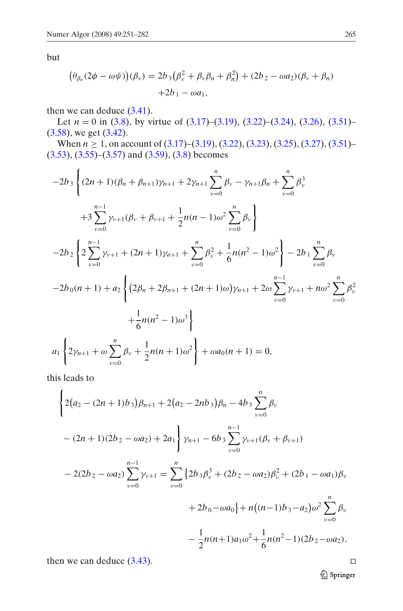but

$$
(\theta_{\beta_n}(2\phi - \omega\psi))(\beta_\nu) = 2b_3(\beta_\nu^2 + \beta_\nu\beta_n + \beta_n^2) + (2b_2 - \omega a_2)(\beta_\nu + \beta_n) + 2b_1 - \omega a_1,
$$

then we can deduce [\(3.41\)](#page-11-0).

Let  $n = 0$  in [\(3.8\)](#page-5-0), by virtue of [\(3.17\)](#page-7-0)–[\(3.19\)](#page-7-0), [\(3.22\)](#page-7-0)–[\(3.24\)](#page-7-0), [\(3.26\)](#page-7-0), [\(3.51\)](#page-12-0)– [\(3.58\)](#page-13-0), we get [\(3.42\)](#page-12-0).

When *n* ≥ 1, on account of [\(3.17\)](#page-7-0)–[\(3.19\)](#page-7-0), [\(3.22\)](#page-7-0), [\(3.23\)](#page-7-0), [\(3.25\)](#page-7-0), [\(3.27\)](#page-7-0), [\(3.51\)](#page-12-0)–  $(3.53), (3.55)$  $(3.53), (3.55)$  $(3.53), (3.55)$ – $(3.57)$  and  $(3.59), (3.8)$  $(3.59), (3.8)$  $(3.59), (3.8)$  becomes

$$
-2b_3 \left\{ (2n+1)(\beta_n + \beta_{n+1})\gamma_{n+1} + 2\gamma_{n+1} \sum_{v=0}^n \beta_v - \gamma_{n+1}\beta_n + \sum_{v=0}^n \beta_v^3 + 3 \sum_{v=0}^{n-1} \gamma_{v+1}(\beta_v + \beta_{v+1} + \frac{1}{2}n(n-1)\omega^2 \sum_{v=0}^n \beta_v) \right\}
$$
  

$$
-2b_2 \left\{ 2 \sum_{v=0}^{n-1} \gamma_{v+1} + (2n+1)\gamma_{n+1} + \sum_{v=0}^n \beta_v^2 + \frac{1}{6}n(n^2-1)\omega^2 \right\} - 2b_1 \sum_{v=0}^n \beta_v
$$
  

$$
-2b_0(n+1) + a_2 \left\{ (2\beta_n + 2\beta_{n+1} + (2n+1)\omega)\gamma_{n+1} + 2\omega \sum_{v=0}^{n-1} \gamma_{v+1} + n\omega^2 \sum_{v=0}^n \beta_v^2 + \frac{1}{6}n(n^2-1)\omega^3 \right\}
$$
  

$$
a_1 \left\{ 2\gamma_{n+1} + \omega \sum_{v=0}^n \beta_v + \frac{1}{2}n(n+1)\omega^2 \right\} + \omega a_0(n+1) = 0,
$$

this leads to

$$
\left\{2(a_2 - (2n+1)b_3)\beta_{n+1} + 2(a_2 - 2nb_3)\beta_n - 4b_3\sum_{v=0}^n \beta_v
$$
  
-(2n+1)(2b<sub>2</sub> - \omega a<sub>2</sub>) + 2a<sub>1</sub> $\left\{\gamma_{n+1} - 6b_3\sum_{v=0}^{n-1} \gamma_{v+1}(\beta_v + \beta_{v+1})\right\}$   
- 2(2b<sub>2</sub> - \omega a<sub>2</sub>) $\sum_{v=0}^{n-1} \gamma_{v+1} = \sum_{v=0}^n \left\{2b_3\beta_v^3 + (2b_2 - \omega a_2)\beta_v^2 + (2b_1 - \omega a_1)\beta_v\right\}$   
+ 2b<sub>0</sub> - \omega a<sub>0</sub> $\left\{\gamma_{n+1} + \gamma_{n+1} + \gamma_{n+1} + \gamma_{n+1} + \gamma_{n+1} + \gamma_{n+1} + \gamma_{n+1} + \gamma_{n+1} + \gamma_{n+1} + \gamma_{n+1} + \gamma_{n+1} + \gamma_{n+1} + \gamma_{n+1} + \gamma_{n+1} + \gamma_{n+1} + \gamma_{n+1} + \gamma_{n+1} + \gamma_{n+1} + \gamma_{n+1} + \gamma_{n+1} + \gamma_{n+1} + \gamma_{n+1} + \gamma_{n+1} + \gamma_{n+1} + \gamma_{n+1} + \gamma_{n+1} + \gamma_{n+1} + \gamma_{n+1} + \gamma_{n+1} + \gamma_{n+1} + \gamma_{n+1} + \gamma_{n+1} + \gamma_{n+1} + \gamma_{n+1} + \gamma_{n+1} + \gamma_{n+1} + \gamma_{n+1} + \gamma_{n+1} + \gamma_{n+1} + \gamma_{n+1} + \gamma_{n+1} + \gamma_{n+1} + \gamma_{n+1} + \gamma_{n+1} + \gamma_{n+1} + \gamma_{n+1} + \gamma_{n+1} + \gamma_{n+1} + \gamma_{n+1} + \gamma_{n+1} + \gamma_{n+1} + \gamma_{n+1} + \gamma_{n+1} + \gamma_{n+1} + \gamma_{n+1} + \gamma_{n+1} + \gamma_{n+1} + \gamma_{n+1} + \gamma_{n+1} + \gamma$ 

then we can deduce [\(3.43\)](#page-12-0).

 $\underline{\textcircled{\tiny 2}}$  Springer

 $\Box$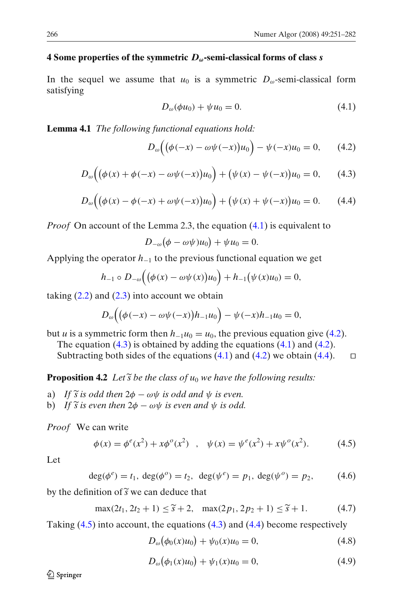### <span id="page-15-0"></span>**4 Some properties of the symmetric** *Dω***-semi-classical forms of class** *s*

In the sequel we assume that  $u_0$  is a symmetric  $D_\omega$ -semi-classical form satisfying

$$
D_{\omega}(\phi u_0) + \psi u_0 = 0. \tag{4.1}
$$

**Lemma 4.1** *The following functional equations hold:*

$$
D_{\omega}\Big((\phi(-x) - \omega\psi(-x))u_0\Big) - \psi(-x)u_0 = 0, \qquad (4.2)
$$

$$
D_{\omega}\Big((\phi(x)+\phi(-x)-\omega\psi(-x))u_0\Big)+(\psi(x)-\psi(-x))u_0=0,\qquad(4.3)
$$

$$
D_{\omega}\Big((\phi(x) - \phi(-x) + \omega\psi(-x))u_0\Big) + (\psi(x) + \psi(-x))u_0 = 0. \tag{4.4}
$$

*Proof* On account of the Lemma 2.3, the equation  $(4.1)$  is equivalent to

$$
D_{-\omega}(\phi - \omega \psi)u_0 + \psi u_0 = 0.
$$

Applying the operator *h*<sup>−</sup><sup>1</sup> to the previous functional equation we get

$$
h_{-1} \circ D_{-\omega}\Big((\phi(x) - \omega\psi(x))u_0\Big) + h_{-1}(\psi(x)u_0) = 0,
$$

taking  $(2.2)$  and  $(2.3)$  into account we obtain

$$
D_{\omega}\Big((\phi(-x) - \omega\psi(-x))h_{-1}u_0\Big) - \psi(-x)h_{-1}u_0 = 0,
$$

but *u* is a symmetric form then  $h_{-1}u_0 = u_0$ , the previous equation give (4.2).

The equation  $(4.3)$  is obtained by adding the equations  $(4.1)$  and  $(4.2)$ .

Subtracting both sides of the equations  $(4.1)$  and  $(4.2)$  we obtain  $(4.4)$ .  $\Box$ 

**Proposition 4.2** *Let*  $\widetilde{s}$  *be the class of*  $u_0$  *we have the following results:* 

- a) *If*  $\tilde{s}$  *is odd then*  $2\phi \omega\psi$  *is odd and*  $\psi$  *is even.*
- b) *If*  $\widetilde{s}$  *is even then*  $2\phi \omega\psi$  *is even and*  $\psi$  *is odd.*

*Proof* We can write

$$
\phi(x) = \phi^{e}(x^{2}) + x\phi^{o}(x^{2}) \quad , \quad \psi(x) = \psi^{e}(x^{2}) + x\psi^{o}(x^{2}). \tag{4.5}
$$

Let

$$
\deg(\phi^e) = t_1, \deg(\phi^o) = t_2, \deg(\psi^e) = p_1, \deg(\psi^o) = p_2,
$$
 (4.6)

by the definition of  $\widetilde{s}$  we can deduce that<br>max $(2t_1, 2t_2 + 1) < \widetilde{s} + 2$ .

$$
\max(2t_1, 2t_2 + 1) \le \tilde{s} + 2, \quad \max(2p_1, 2p_2 + 1) \le \tilde{s} + 1. \tag{4.7}
$$

Taking (4.5) into account, the equations (4.3) and (4.4) become respectively

 $D_{\omega}(\phi_0(x)u_0) + \psi_0(x)u_0 = 0,$  (4.8)

$$
D_{\omega}(\phi_1(x)u_0) + \psi_1(x)u_0 = 0, \qquad (4.9)
$$

*A* Springer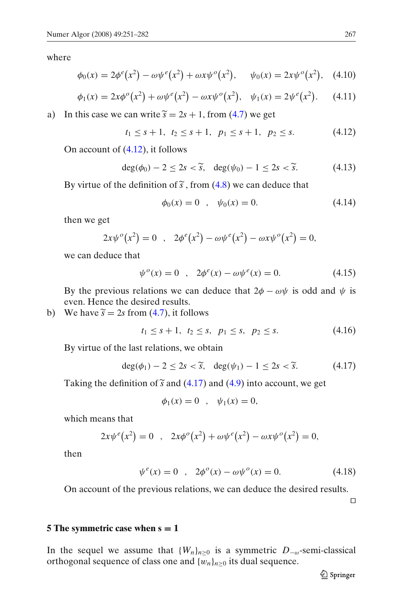<span id="page-16-0"></span>where

$$
\phi_0(x) = 2\phi^e(x^2) - \omega\psi^e(x^2) + \omega x\psi^o(x^2), \quad \psi_0(x) = 2x\psi^o(x^2), \quad (4.10)
$$

$$
\phi_1(x) = 2x\phi^o(x^2) + \omega\psi^e(x^2) - \omega x\psi^o(x^2), \quad \psi_1(x) = 2\psi^e(x^2). \tag{4.11}
$$

a) In this case we can write  $\tilde{s} = 2s + 1$ , from [\(4.7\)](#page-15-0) we get

$$
t_1 \leq s+1, t_2 \leq s+1, p_1 \leq s+1, p_2 \leq s.
$$
 (4.12)

On account of (4.12), it follows

$$
\deg(\phi_0) - 2 \le 2s < \widetilde{s}, \quad \deg(\psi_0) - 1 \le 2s < \widetilde{s}.\tag{4.13}
$$

By virtue of the definition of  $\tilde{s}$ , from [\(4.8\)](#page-15-0) we can deduce that

$$
\phi_0(x) = 0 \quad , \quad \psi_0(x) = 0. \tag{4.14}
$$

then we get

$$
2x\psi^{o}(x^{2}) = 0 \quad , \quad 2\phi^{e}(x^{2}) - \omega\psi^{e}(x^{2}) - \omega x\psi^{o}(x^{2}) = 0,
$$

we can deduce that

$$
\psi^{o}(x) = 0 \quad , \quad 2\phi^{e}(x) - \omega \psi^{e}(x) = 0. \tag{4.15}
$$

By the previous relations we can deduce that  $2\phi - \omega \psi$  is odd and  $\psi$  is even. Hence the desired results.

b) We have  $\tilde{s} = 2s$  from [\(4.7\)](#page-15-0), it follows

$$
t_1 \le s+1, \ t_2 \le s, \ p_1 \le s, \ p_2 \le s. \tag{4.16}
$$

By virtue of the last relations, we obtain

$$
\deg(\phi_1) - 2 \le 2s < \widetilde{s}, \quad \deg(\psi_1) - 1 \le 2s < \widetilde{s}.\tag{4.17}
$$

Taking the definition of  $\tilde{s}$  and (4.17) and [\(4.9\)](#page-15-0) into account, we get

$$
\phi_1(x) = 0
$$
,  $\psi_1(x) = 0$ ,

which means that

$$
2x\psi^{e}(x^{2}) = 0 \quad , \quad 2x\phi^{o}(x^{2}) + \omega\psi^{e}(x^{2}) - \omega x\psi^{o}(x^{2}) = 0,
$$

then

$$
\psi^{e}(x) = 0 \quad , \quad 2\phi^{o}(x) - \omega \psi^{o}(x) = 0. \tag{4.18}
$$

On account of the previous relations, we can deduce the desired results.

 $\Box$ 

#### **5 The symmetric case when**  $s = 1$

In the sequel we assume that  ${W_n}_{n\geq0}$  is a symmetric  $D_{-\omega}$ -semi-classical orthogonal sequence of class one and  $\{w_n\}_{n\geq 0}$  its dual sequence.

 $\mathcal{Q}$  Springer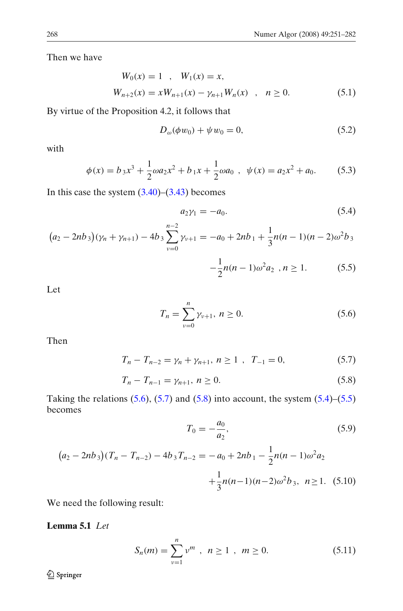<span id="page-17-0"></span>Then we have

$$
W_0(x) = 1, \quad W_1(x) = x,
$$
  
\n
$$
W_{n+2}(x) = xW_{n+1}(x) - \gamma_{n+1}W_n(x), \quad n \ge 0.
$$
\n(5.1)

By virtue of the Proposition 4.2, it follows that

$$
D_{\omega}(\phi w_0) + \psi w_0 = 0, \tag{5.2}
$$

with

$$
\phi(x) = b_3 x^3 + \frac{1}{2} \omega a_2 x^2 + b_1 x + \frac{1}{2} \omega a_0 , \quad \psi(x) = a_2 x^2 + a_0.
$$
 (5.3)

In this case the system  $(3.40)$ – $(3.43)$  becomes

$$
a_2 \gamma_1 = -a_0. \tag{5.4}
$$

$$
(a_2 - 2nb_3)(\gamma_n + \gamma_{n+1}) - 4b_3 \sum_{\nu=0}^{n-2} \gamma_{\nu+1} = -a_0 + 2nb_1 + \frac{1}{3}n(n-1)(n-2)\omega^2 b_3
$$

$$
-\frac{1}{2}n(n-1)\omega^2 a_2, n \ge 1.
$$
 (5.5)

Let

$$
T_n = \sum_{\nu=0}^n \gamma_{\nu+1}, \ n \ge 0. \tag{5.6}
$$

Then

$$
T_n - T_{n-2} = \gamma_n + \gamma_{n+1}, \ n \ge 1 \ , \ T_{-1} = 0, \tag{5.7}
$$

$$
T_n - T_{n-1} = \gamma_{n+1}, \ n \ge 0. \tag{5.8}
$$

Taking the relations  $(5.6)$ ,  $(5.7)$  and  $(5.8)$  into account, the system  $(5.4)$ – $(5.5)$ becomes

$$
T_0 = -\frac{a_0}{a_2},\tag{5.9}
$$

$$
(a_2 - 2nb_3)(T_n - T_{n-2}) - 4b_3 T_{n-2} = -a_0 + 2nb_1 - \frac{1}{2}n(n-1)\omega^2 a_2
$$

$$
+ \frac{1}{3}n(n-1)(n-2)\omega^2 b_3, \ \ n \ge 1. \tag{5.10}
$$

We need the following result:

**Lemma 5.1** *Let*

$$
S_n(m) = \sum_{\nu=1}^n \nu^m , \ n \ge 1 , \ m \ge 0.
$$
 (5.11)

 $\underline{\textcircled{\tiny 2}}$  Springer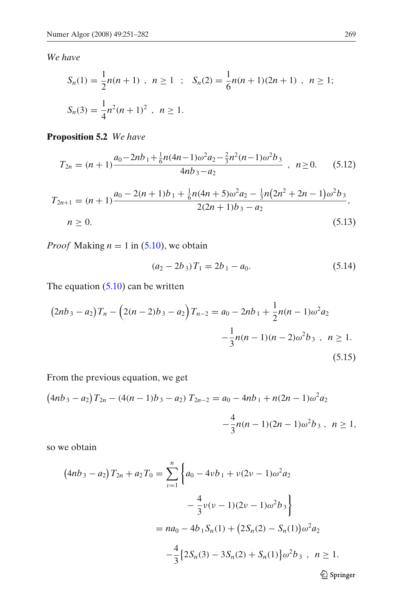<span id="page-18-0"></span>*We have*

$$
S_n(1) = \frac{1}{2}n(n+1) , n \ge 1 ; S_n(2) = \frac{1}{6}n(n+1)(2n+1) , n \ge 1;
$$
  

$$
S_n(3) = \frac{1}{4}n^2(n+1)^2 , n \ge 1.
$$

# **Proposition 5.2** *We have*

$$
T_{2n} = (n+1)\frac{a_0 - 2nb_1 + \frac{1}{6}n(4n-1)\omega^2 a_2 - \frac{2}{3}n^2(n-1)\omega^2 b_3}{4nb_3 - a_2} , \quad n \ge 0.
$$
 (5.12)

$$
T_{2n+1} = (n+1)\frac{a_0 - 2(n+1)b_1 + \frac{1}{6}n(4n+5)\omega^2 a_2 - \frac{1}{3}n(2n^2+2n-1)\omega^2 b_3}{2(2n+1)b_3 - a_2},
$$
  
\n
$$
n \ge 0.
$$
\n(5.13)

*Proof* Making  $n = 1$  in [\(5.10\)](#page-17-0), we obtain

$$
(a_2 - 2b_3)T_1 = 2b_1 - a_0. \tag{5.14}
$$

The equation  $(5.10)$  can be written

$$
(2nb3 - a2)Tn - (2(n - 2)b3 - a2)Tn-2 = a0 - 2nb1 + \frac{1}{2}n(n - 1)\omega2a2
$$
  

$$
-\frac{1}{3}n(n - 1)(n - 2)\omega2b3, n \ge 1.
$$
  
(5.15)

From the previous equation, we get

$$
(4nb3 - a2)T2n - (4(n - 1)b3 - a2)T2n-2 = a0 - 4nb1 + n(2n - 1)\omega2a2
$$

$$
-\frac{4}{3}n(n - 1)(2n - 1)\omega2b3, n \ge 1,
$$

so we obtain

$$
(4nb3 - a2)T2n + a2T0 = \sum_{\nu=1}^{n} \left\{ a_0 - 4\nu b_1 + \nu(2\nu - 1)\omega^2 a_2 - \frac{4}{3}\nu(\nu - 1)(2\nu - 1)\omega^2 b_3 \right\} = na_0 - 4b_1S_n(1) + (2S_n(2) - S_n(1))\omega^2 a_2 - \frac{4}{3} \left\{ 2S_n(3) - 3S_n(2) + S_n(1) \right\} \omega^2 b_3, \quad n \ge 1.
$$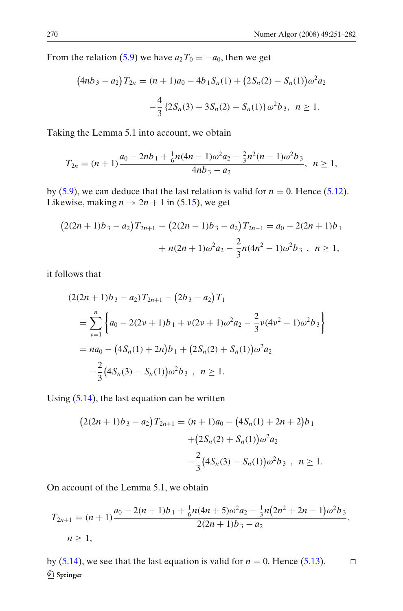From the relation [\(5.9\)](#page-17-0) we have  $a_2T_0 = -a_0$ , then we get

$$
(4nb3 - a2)T2n = (n + 1)a0 - 4b1Sn(1) + (2Sn(2) - Sn(1))\omega2a2
$$

$$
-\frac{4}{3} {2Sn(3) - 3Sn(2) + Sn(1)}\omega2b3, n \ge 1.
$$

Taking the Lemma 5.1 into account, we obtain

$$
T_{2n} = (n+1)\frac{a_0 - 2nb_1 + \frac{1}{6}n(4n-1)\omega^2a_2 - \frac{2}{3}n^2(n-1)\omega^2b_3}{4nb_3 - a_2}, \ \ n \ge 1,
$$

by [\(5.9\)](#page-17-0), we can deduce that the last relation is valid for  $n = 0$ . Hence [\(5.12\)](#page-18-0). Likewise, making  $n \to 2n + 1$  in [\(5.15\)](#page-18-0), we get

$$
(2(2n+1)b_3 - a_2)T_{2n+1} - (2(2n-1)b_3 - a_2)T_{2n-1} = a_0 - 2(2n+1)b_1
$$

$$
+ n(2n+1)\omega^2 a_2 - \frac{2}{3}n(4n^2-1)\omega^2 b_3, \quad n \ge 1,
$$

it follows that

$$
(2(2n + 1)b_3 - a_2)T_{2n+1} - (2b_3 - a_2)T_1
$$
  
= 
$$
\sum_{\nu=1}^n \left\{ a_0 - 2(2\nu + 1)b_1 + \nu(2\nu + 1)\omega^2 a_2 - \frac{2}{3}\nu(4\nu^2 - 1)\omega^2 b_3 \right\}
$$
  
= 
$$
na_0 - (4S_n(1) + 2n)b_1 + (2S_n(2) + S_n(1))\omega^2 a_2
$$
  

$$
-\frac{2}{3}(4S_n(3) - S_n(1))\omega^2 b_3, \quad n \ge 1.
$$

Using [\(5.14\)](#page-18-0), the last equation can be written

$$
(2(2n+1)b_3 - a_2)T_{2n+1} = (n+1)a_0 - (4S_n(1) + 2n + 2)b_1
$$

$$
+ (2S_n(2) + S_n(1))\omega^2 a_2
$$

$$
- \frac{2}{3}(4S_n(3) - S_n(1))\omega^2 b_3, \quad n \ge 1.
$$

On account of the Lemma 5.1, we obtain

$$
T_{2n+1} = (n+1)\frac{a_0 - 2(n+1)b_1 + \frac{1}{6}n(4n+5)\omega^2 a_2 - \frac{1}{3}n(2n^2+2n-1)\omega^2 b_3}{2(2n+1)b_3 - a_2},
$$
  
n \ge 1,

by  $(5.14)$ , we see that the last equation is valid for  $n = 0$ . Hence  $(5.13)$ .  $\Box$ Springer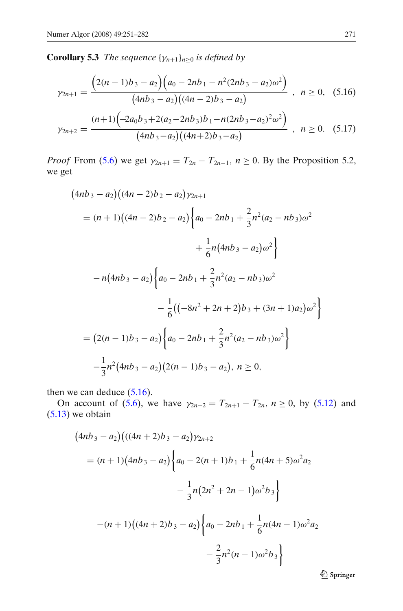<span id="page-20-0"></span>**Corollary 5.3** *The sequence*  $\{\gamma_{n+1}\}_{n>0}$  *is defined by* 

$$
\gamma_{2n+1} = \frac{\left(2(n-1)b_3 - a_2\right)\left(a_0 - 2nb_1 - n^2(2nb_3 - a_2)\omega^2\right)}{(4nb_3 - a_2)((4n - 2)b_3 - a_2)}, \quad n \ge 0, \quad (5.16)
$$

$$
\gamma_{2n+2} = \frac{(n+1)\left(-2a_0b_3 + 2(a_2 - 2nb_3)b_1 - n(2nb_3 - a_2)^2\omega^2\right)}{(4nb_3 - a_2)((4n+2)b_3 - a_2)} , \quad n \ge 0.
$$
 (5.17)

*Proof* From [\(5.6\)](#page-17-0) we get  $\gamma_{2n+1} = T_{2n} - T_{2n-1}$ ,  $n \ge 0$ . By the Proposition 5.2, we get

$$
(4nb3 - a2)((4n - 2)b2 - a2)\gamma_{2n+1}
$$
  
=  $(n + 1)((4n - 2)b2 - a2)\left\{a_0 - 2nb_1 + \frac{2}{3}n^2(a_2 - nb_3)\omega^2 + \frac{1}{6}n(4nb_3 - a_2)\omega^2\right\}$   
 $- n(4nb3 - a2)\left\{a_0 - 2nb_1 + \frac{2}{3}n^2(a_2 - nb_3)\omega^2 - \frac{1}{6}((-8n^2 + 2n + 2)b_3 + (3n + 1)a_2)\omega^2\right\}$   
=  $(2(n - 1)b_3 - a_2)\left\{a_0 - 2nb_1 + \frac{2}{3}n^2(a_2 - nb_3)\omega^2\right\}$   
 $-\frac{1}{3}n^2(4nb_3 - a_2)(2(n - 1)b_3 - a_2), n \ge 0,$ 

then we can deduce  $(5.16)$ .

On account of [\(5.6\)](#page-17-0), we have  $\gamma_{2n+2} = T_{2n+1} - T_{2n}$ ,  $n \ge 0$ , by [\(5.12\)](#page-18-0) and [\(5.13\)](#page-18-0) we obtain

$$
(4nb3 - a2)\big(((4n + 2)b3 - a2)\gamma_{2n+2}
$$
  
=  $(n + 1)(4nb3 - a2)\Big\{a_0 - 2(n + 1)b1 + \frac{1}{6}n(4n + 5)\omega^2 a_2 - \frac{1}{3}n(2n^2 + 2n - 1)\omega^2 b_3\Big\}$   
 $-(n + 1)(4n + 2)b3 - a2)\Big\{a_0 - 2nb1 + \frac{1}{6}n(4n - 1)\omega^2 a_2 - \frac{2}{3}n^2(n - 1)\omega^2 b_3\Big\}$ 

Springer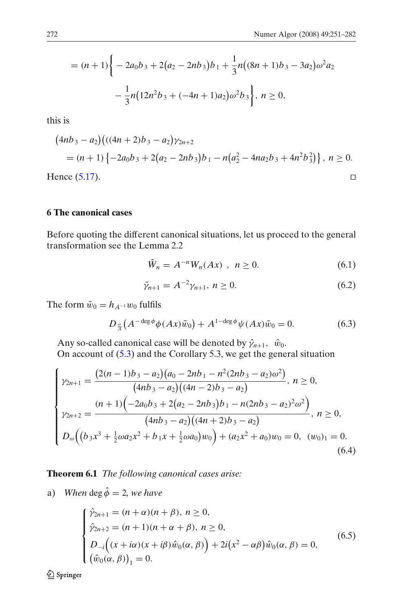<span id="page-21-0"></span>
$$
= (n+1)\left\{-2a_0b_3 + 2(a_2 - 2nb_3)b_1 + \frac{1}{3}n((8n+1)b_3 - 3a_2)\omega^2a_2 - \frac{1}{3}n(12n^2b_3 + (-4n+1)a_2)\omega^2b_3\right\}, n \ge 0,
$$

this is

$$
(4nb3 - a2)((4n + 2)b3 - a2)\gamma_{2n+2}
$$
  
= (n + 1) {-2a<sub>0</sub>b<sub>3</sub> + 2(a<sub>2</sub> - 2nb<sub>3</sub>)b<sub>1</sub> - n(a<sub>2</sub><sup>2</sup> - 4na<sub>2</sub>b<sub>3</sub> + 4n<sup>2</sup>b<sub>3</sub><sup>2</sup>)}, n \ge 0.  
ence (5.17).

Hence [\(5.17\)](#page-20-0).

# **6 The canonical cases**

Before quoting the different canonical situations, let us proceed to the general transformation see the Lemma 2.2

$$
\tilde{W}_n = A^{-n} W_n(Ax) , n \ge 0.
$$
\n
$$
(6.1)
$$

$$
\tilde{\gamma}_{n+1} = A^{-2} \gamma_{n+1}, \ n \ge 0. \tag{6.2}
$$

The form  $\tilde{w}_0 = h_{A^{-1}}w_0$  fulfils

$$
D_{\frac{\omega}{A}}(A^{-\deg\phi}\phi(Ax)\tilde{w}_0) + A^{1-\deg\phi}\psi(Ax)\tilde{w}_0 = 0.
$$
 (6.3)

Any so-called canonical case will be denoted by  $\hat{\gamma}_{n+1}$ ,  $\hat{w}_0$ . On account of [\(5.3\)](#page-17-0) and the Corollary 5.3, we get the general situation

$$
\begin{cases}\n\gamma_{2n+1} = \frac{(2(n-1)b_3 - a_2)(a_0 - 2nb_1 - n^2(2nb_3 - a_2)\omega^2)}{(4nb_3 - a_2)((4n - 2)b_3 - a_2)}, \ n \ge 0, \\
\gamma_{2n+2} = \frac{(n+1)(-2a_0b_3 + 2(a_2 - 2nb_3)b_1 - n(2nb_3 - a_2)^2\omega^2)}{(4nb_3 - a_2)((4n + 2)b_3 - a_2)}, \ n \ge 0, \\
D_\omega((b_3x^3 + \frac{1}{2}\omega a_2x^2 + b_1x + \frac{1}{2}\omega a_0)w_0) + (a_2x^2 + a_0)w_0 = 0, \ (w_0)_1 = 0. \\
(6.4)\n\end{cases}
$$

**Theorem 6.1** *The following canonical cases arise:*

a) *When* deg  $\hat{\phi} = 2$ *, we have* 

$$
\begin{cases}\n\hat{\gamma}_{2n+1} = (n+\alpha)(n+\beta), \ n \ge 0, \\
\hat{\gamma}_{2n+2} = (n+1)(n+\alpha+\beta), \ n \ge 0, \\
D_{-i}((x+i\alpha)(x+i\beta)\hat{w}_0(\alpha,\beta)) + 2i(x^2 - \alpha\beta)\hat{w}_0(\alpha,\beta) = 0, \\
(\hat{w}_0(\alpha,\beta))_1 = 0.\n\end{cases}
$$
\n(6.5)

<sup>2</sup> Springer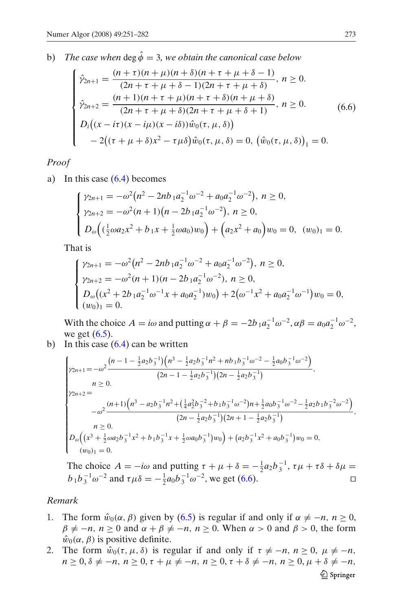<span id="page-22-0"></span>b) *The case when* deg  $\hat{\phi} = 3$ , we obtain the canonical case below

$$
\begin{cases}\n\hat{\gamma}_{2n+1} = \frac{(n+\tau)(n+\mu)(n+\delta)(n+\tau+\mu+\delta-1)}{(2n+\tau+\mu+\delta-1)(2n+\tau+\mu+\delta)}, \ n \ge 0. \\
\hat{\gamma}_{2n+2} = \frac{(n+1)(n+\tau+\mu)(n+\tau+\delta)(n+\mu+\delta)}{(2n+\tau+\mu+\delta)(2n+\tau+\mu+\delta+1)}, \ n \ge 0. \\
D_i((x-ix)(x-ix)(x-ix))\hat{w}_0(\tau,\mu,\delta)) \\
-2((\tau+\mu+\delta)x^2-\tau\mu\delta)\hat{w}_0(\tau,\mu,\delta) = 0, \ (\hat{w}_0(\tau,\mu,\delta))_1 = 0.\n\end{cases}
$$
\n(6.6)

*Proof*

a) In this case [\(6.4\)](#page-21-0) becomes

$$
\begin{cases}\n\gamma_{2n+1} = -\omega^2 (n^2 - 2nb_1 a_2^{-1} \omega^{-2} + a_0 a_2^{-1} \omega^{-2}), \ n \ge 0, \\
\gamma_{2n+2} = -\omega^2 (n+1)(n-2b_1 a_2^{-1} \omega^{-2}), \ n \ge 0, \\
D_\omega \left( (\frac{1}{2} \omega a_2 x^2 + b_1 x + \frac{1}{2} \omega a_0) w_0 \right) + \left( a_2 x^2 + a_0 \right) w_0 = 0, \ (w_0)_1 = 0.\n\end{cases}
$$

That is

$$
\begin{cases}\n\gamma_{2n+1} = -\omega^2 (n^2 - 2nb_1 a_2^{-1} \omega^{-2} + a_0 a_2^{-1} \omega^{-2}), \ n \ge 0, \\
\gamma_{2n+2} = -\omega^2 (n+1)(n-2b_1 a_2^{-1} \omega^{-2}), \ n \ge 0, \\
D_\omega \left( (x^2 + 2b_1 a_2^{-1} \omega^{-1} x + a_0 a_2^{-1}) w_0 \right) + 2 \left( \omega^{-1} x^2 + a_0 a_2^{-1} \omega^{-1} \right) w_0 = 0, \\
(w_0)_1 = 0.\n\end{cases}
$$

With the choice  $A = i\omega$  and putting  $\alpha + \beta = -2b_1 a_2^{-1} \omega^{-2}, \alpha \beta = a_0 a_2^{-1} \omega^{-2}$ , we get  $(6.5)$ .

b) In this case  $(6.4)$  can be written

$$
\begin{cases}\gamma_{2n+1} = -\omega^2 \frac{(n-1 - \frac{1}{2}a_2b_3^{-1})(n^3 - \frac{1}{2}a_2b_3^{-1}n^2 + nb_1b_3^{-1}\omega^{-2} - \frac{1}{2}a_0b_3^{-1}\omega^{-2})}{(2n - 1 - \frac{1}{2}a_2b_3^{-1})(2n - \frac{1}{2}a_2b_3^{-1})}, \\
n \ge 0, \\
\gamma_{2n+2} = -\omega^2 \frac{(n+1)(n^3 - a_2b_3^{-1}n^2 + (\frac{1}{4}a_2^2b_3^{-2} + b_1b_3^{-1}\omega^{-2})n + \frac{1}{2}a_0b_3^{-1}\omega^{-2} - \frac{1}{2}a_2b_1b_3^{-2}\omega^{-2})}{(2n - \frac{1}{2}a_2b_3^{-1})(2n + 1 - \frac{1}{2}a_2b_3^{-1})}, \\
n \ge 0, \\
D_\omega((x^3 + \frac{1}{2}\omega a_2b_3^{-1}x^2 + b_1b_3^{-1}x + \frac{1}{2}\omega a_0b_3^{-1})w_0) + (a_2b_3^{-1}x^2 + a_0b_3^{-1})w_0 = 0, \\
(w_0)_1 = 0.\n\end{cases}
$$

The choice  $A = -i\omega$  and putting  $\tau + \mu + \delta = -\frac{1}{2}a_2b_3^{-1}$ ,  $\tau\mu + \tau\delta + \delta\mu =$  $b_1 b_3^{-1} \omega^{-2}$  and  $\tau \mu \delta = -\frac{1}{2} a_0 b_3^{-1} \omega^{-2}$ , we get (6.6).  $\Box$ 

#### *Remark*

- 1. The form  $\hat{w}_0(\alpha, \beta)$  given by [\(6.5\)](#page-21-0) is regular if and only if  $\alpha \neq -n, n \geq 0$ ,  $\beta \neq -n$ ,  $n \geq 0$  and  $\alpha + \beta \neq -n$ ,  $n \geq 0$ . When  $\alpha > 0$  and  $\beta > 0$ , the form  $\hat{w}_0(\alpha, \beta)$  is positive definite.
- 2. The form  $\hat{w}_0(\tau, \mu, \delta)$  is regular if and only if  $\tau \neq -n$ ,  $n \geq 0$ ,  $\mu \neq -n$ ,  $n \geq 0, \delta \neq -n, n \geq 0, \tau + \mu \neq -n, n \geq 0, \tau + \delta \neq -n, n \geq 0, \mu + \delta \neq -n,$ 2 Springer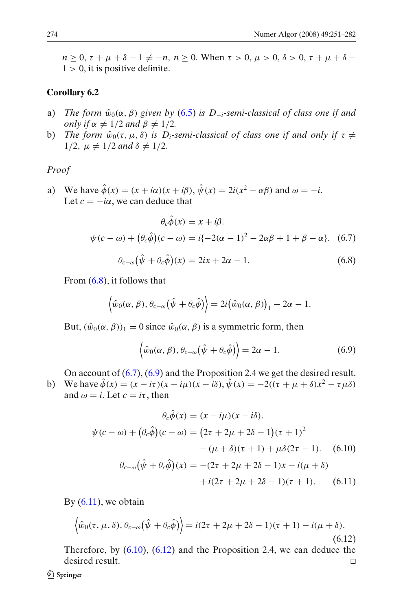$n \ge 0$ ,  $\tau + \mu + \delta - 1 \ne -n$ ,  $n \ge 0$ . When  $\tau > 0$ ,  $\mu > 0$ ,  $\delta > 0$ ,  $\tau + \mu + \delta 1 > 0$ , it is positive definite.

# **Corollary 6.2**

- a) *The form*  $\hat{w}_0(\alpha, \beta)$  *given by* [\(6.5\)](#page-21-0) *is D<sub>−<i>i*</sub>-semi-classical of class one if and *only if*  $\alpha \neq 1/2$  *and*  $\beta \neq 1/2$ *.*
- b) *The form*  $\hat{w}_0(\tau, \mu, \delta)$  *is D<sub>i</sub>-semi-classical of class one if and only if*  $\tau \neq$  $1/2, \mu \neq 1/2$  *and*  $\delta \neq 1/2$ *.*

# *Proof*

a) We have  $\hat{\phi}(x) = (x + i\alpha)(x + i\beta), \hat{\psi}(x) = 2i(x^2 - \alpha\beta)$  and  $\omega = -i$ . Let  $c = -i\alpha$ , we can deduce that

$$
\theta_c \hat{\phi}(x) = x + i\beta.
$$
  

$$
\psi(c - \omega) + (\theta_c \hat{\phi})(c - \omega) = i\{-2(\alpha - 1)^2 - 2\alpha\beta + 1 + \beta - \alpha\}.
$$
 (6.7)

$$
\theta_{c-\omega}(\hat{\psi} + \theta_c \hat{\phi})(x) = 2ix + 2\alpha - 1. \tag{6.8}
$$

From (6.8), it follows that

$$
\langle \hat{w}_0(\alpha,\beta), \theta_{c-\omega}(\hat{\psi}+\theta_c\hat{\phi})\rangle = 2i(\hat{w}_0(\alpha,\beta))_1 + 2\alpha - 1.
$$

But,  $(\hat{w}_0(\alpha, \beta))_1 = 0$  since  $\hat{w}_0(\alpha, \beta)$  is a symmetric form, then

$$
\left\langle \hat{w}_0(\alpha,\beta), \theta_{c-\omega}(\hat{\psi} + \theta_c \hat{\phi}) \right\rangle = 2\alpha - 1. \tag{6.9}
$$

On account of (6.7), (6.9) and the Proposition 2.4 we get the desired result.

b) We have  $\hat{\phi}(x) = (x - i\tau)(x - i\mu)(x - i\delta), \hat{\psi}(x) = -2((\tau + \mu + \delta)x^2 - \tau\mu\delta)$ and  $\omega = i$ . Let  $c = i\tau$ , then

$$
\theta_c \hat{\phi}(x) = (x - i\mu)(x - i\delta).
$$
  

$$
\psi(c - \omega) + (\theta_c \hat{\phi})(c - \omega) = (2\tau + 2\mu + 2\delta - 1)(\tau + 1)^2
$$

$$
-(\mu + \delta)(\tau + 1) + \mu \delta(2\tau - 1). \quad (6.10)
$$

$$
\theta_{c-\omega}(\hat{\psi} + \theta_c \hat{\phi})(x) = -(2\tau + 2\mu + 2\delta - 1)x - i(\mu + \delta)
$$

$$
+ i(2\tau + 2\mu + 2\delta - 1)(\tau + 1). \quad (6.11)
$$

By  $(6.11)$ , we obtain

$$
\left\langle \hat{w}_0(\tau, \mu, \delta), \theta_{c-\omega}(\hat{\psi} + \theta_c \hat{\phi}) \right\rangle = i(2\tau + 2\mu + 2\delta - 1)(\tau + 1) - i(\mu + \delta). \tag{6.12}
$$

Therefore, by  $(6.10)$ ,  $(6.12)$  and the Proposition 2.4, we can deduce the desired result.  $\Box$ 

*A* Springer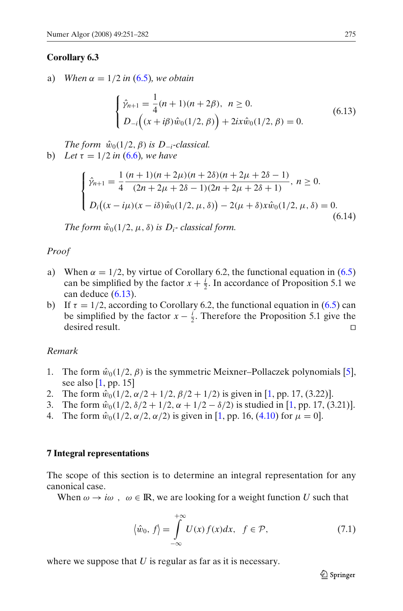#### <span id="page-24-0"></span>**Corollary 6.3**

a) *When*  $\alpha = 1/2$  *in* [\(6.5\)](#page-21-0)*, we obtain* 

$$
\begin{cases} \hat{\gamma}_{n+1} = \frac{1}{4}(n+1)(n+2\beta), & n \ge 0. \\ D_{-i}\Big((x+i\beta)\hat{w}_0(1/2,\beta)\Big) + 2ix\hat{w}_0(1/2,\beta) = 0. \end{cases}
$$
(6.13)

*The form*  $\hat{w}_0(1/2, \beta)$  *is D*<sub>−*i*</sub>-classical. **b**) *Let*  $\tau = 1/2$  *in* [\(6.6\)](#page-22-0)*, we have* 

$$
\begin{cases}\n\hat{\gamma}_{n+1} = \frac{1}{4} \frac{(n+1)(n+2\mu)(n+2\delta)(n+2\mu+2\delta-1)}{(2n+2\mu+2\delta-1)(2n+2\mu+2\delta+1)}, \ n \ge 0. \\
D_i((x-i\mu)(x-i\delta)\hat{w}_0(1/2,\mu,\delta)) - 2(\mu+\delta)x\hat{w}_0(1/2,\mu,\delta) = 0. \\
(6.14)\n\end{cases}
$$

*The form*  $\hat{w}_0(1/2, \mu, \delta)$  *is D<sub>i</sub>*-classical form.

# *Proof*

- a) When  $\alpha = 1/2$ , by virtue of Corollary 6.2, the functional equation in [\(6.5\)](#page-21-0) can be simplified by the factor  $x + \frac{i}{2}$ . In accordance of Proposition 5.1 we can deduce (6.13).
- b) If  $\tau = 1/2$ , according to Corollary 6.2, the functional equation in [\(6.5\)](#page-21-0) can be simplified by the factor  $x - \frac{i}{2}$ . Therefore the Proposition 5.1 give the desired result.  $\Box$

#### *Remark*

- 1. The form  $\hat{w}_0(1/2, \beta)$  is the symmetric Meixner–Pollaczek polynomials [\[5\]](#page-30-0), see also  $[1, pp. 15]$  $[1, pp. 15]$
- 2. The form  $\hat{w}_0(1/2, \alpha/2 + 1/2, \beta/2 + 1/2)$  is given in [\[1,](#page-30-0) pp. 17, (3.22)].
- 3. The form  $\hat{w}_0(1/2, \delta/2 + 1/2, \alpha + 1/2 \delta/2)$  is studied in [\[1](#page-30-0), pp. 17, (3.21)].
- 4. The form  $\hat{w}_0(1/2, \alpha/2, \alpha/2)$  is given in [\[1,](#page-30-0) pp. 16, [\(4.10\)](#page-16-0) for  $\mu = 0$ ].

#### **7 Integral representations**

The scope of this section is to determine an integral representation for any canonical case.

When  $\omega \to i\omega$ ,  $\omega \in \mathbb{R}$ , we are looking for a weight function *U* such that

$$
\langle \hat{w}_0, f \rangle = \int_{-\infty}^{+\infty} U(x) f(x) dx, \quad f \in \mathcal{P}, \tag{7.1}
$$

where we suppose that *U* is regular as far as it is necessary.

 $\mathcal{Q}$  Springer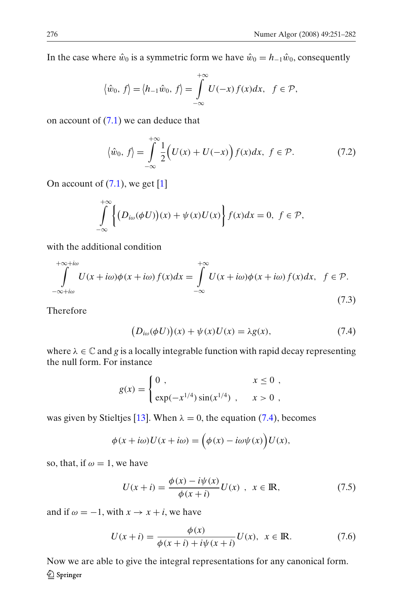<span id="page-25-0"></span>In the case where  $\hat{w}_0$  is a symmetric form we have  $\hat{w}_0 = h_{-1}\hat{w}_0$ , consequently

$$
\langle \hat{w}_0, f \rangle = \langle h_{-1} \hat{w}_0, f \rangle = \int_{-\infty}^{+\infty} U(-x) f(x) dx, \quad f \in \mathcal{P},
$$

on account of  $(7.1)$  we can deduce that

$$
\langle \hat{w}_0, f \rangle = \int_{-\infty}^{+\infty} \frac{1}{2} \Big( U(x) + U(-x) \Big) f(x) dx, \ f \in \mathcal{P}.
$$
 (7.2)

On account of  $(7.1)$ , we get  $[1]$  $[1]$ 

$$
\int_{-\infty}^{+\infty} \left\{ \left( D_{i\omega}(\phi U) \right) (x) + \psi(x) U(x) \right\} f(x) dx = 0, \ f \in \mathcal{P},
$$

with the additional condition

$$
\int_{-\infty+i\omega}^{+\infty+i\omega} U(x+i\omega)\phi(x+i\omega) f(x)dx = \int_{-\infty}^{+\infty} U(x+i\omega)\phi(x+i\omega) f(x)dx, \quad f \in \mathcal{P}.
$$
\n(7.3)

Therefore

$$
(D_{i\omega}(\phi U))(x) + \psi(x)U(x) = \lambda g(x), \qquad (7.4)
$$

where  $\lambda \in \mathbb{C}$  and g is a locally integrable function with rapid decay representing the null form. For instance

$$
g(x) = \begin{cases} 0, & x \le 0, \\ exp(-x^{1/4}) \sin(x^{1/4}), & x > 0, \end{cases}
$$

was given by Stieltjes [\[13\]](#page-31-0). When  $\lambda = 0$ , the equation (7.4), becomes

$$
\phi(x+i\omega)U(x+i\omega) = \left(\phi(x) - i\omega\psi(x)\right)U(x),
$$

so, that, if  $\omega = 1$ , we have

$$
U(x + i) = \frac{\phi(x) - i\psi(x)}{\phi(x + i)} U(x) , \quad x \in \mathbb{R},
$$
 (7.5)

and if  $\omega = -1$ , with  $x \to x + i$ , we have

$$
U(x + i) = \frac{\phi(x)}{\phi(x + i) + i\psi(x + i)} U(x), \ \ x \in \mathbb{R}.
$$
 (7.6)

Now we are able to give the integral representations for any canonical form.2 Springer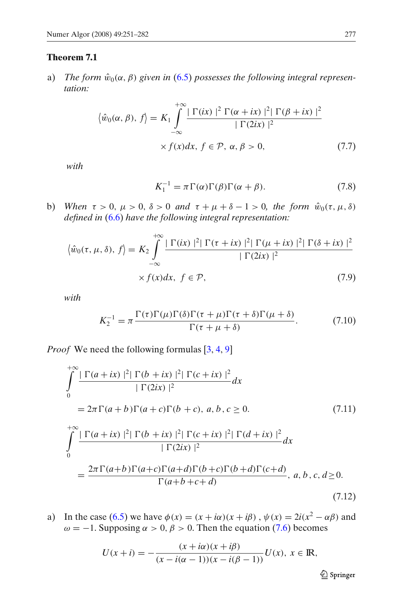# <span id="page-26-0"></span>**Theorem 7.1**

a) *The form*  $\hat{w}_0(\alpha, \beta)$  given in [\(6.5\)](#page-21-0) possesses the following integral represen*tation:*

$$
\langle \hat{w}_0(\alpha, \beta), f \rangle = K_1 \int_{-\infty}^{+\infty} \frac{|\Gamma(ix)|^2 \Gamma(\alpha + ix)|^2 |\Gamma(\beta + ix)|^2}{|\Gamma(2ix)|^2} \times f(x) dx, f \in \mathcal{P}, \alpha, \beta > 0,
$$
 (7.7)

*with*

$$
K_1^{-1} = \pi \Gamma(\alpha) \Gamma(\beta) \Gamma(\alpha + \beta). \tag{7.8}
$$

b) *When*  $\tau > 0$ ,  $\mu > 0$ ,  $\delta > 0$  *and*  $\tau + \mu + \delta - 1 > 0$ , the form  $\hat{w}_0(\tau, \mu, \delta)$ *defined in* [\(6.6\)](#page-22-0) *have the following integral representation:*

$$
\langle \hat{w}_0(\tau, \mu, \delta), f \rangle = K_2 \int_{-\infty}^{+\infty} \frac{|\Gamma(ix)|^2 |\Gamma(\tau + ix)|^2 |\Gamma(\mu + ix)|^2 |\Gamma(\delta + ix)|^2}{|\Gamma(2ix)|^2} \times f(x) dx, f \in \mathcal{P},
$$
\n(7.9)

*with*

$$
K_2^{-1} = \pi \frac{\Gamma(\tau)\Gamma(\mu)\Gamma(\delta)\Gamma(\tau+\mu)\Gamma(\tau+\delta)\Gamma(\mu+\delta)}{\Gamma(\tau+\mu+\delta)}.\tag{7.10}
$$

*Proof* We need the following formulas [\[3](#page-30-0), [4](#page-30-0), [9](#page-30-0)]

$$
\int_{0}^{+\infty} \frac{|\Gamma(a+ix)|^{2} |\Gamma(b+ix)|^{2} |\Gamma(c+ix)|^{2}}{|\Gamma(2ix)|^{2}} dx
$$
\n
$$
= 2\pi \Gamma(a+b) \Gamma(a+c) \Gamma(b+c), a, b, c \ge 0. \tag{7.11}
$$
\n
$$
\int_{0}^{+\infty} \frac{|\Gamma(a+ix)|^{2} |\Gamma(b+ix)|^{2} |\Gamma(c+ix)|^{2} |\Gamma(d+ix)|^{2}}{|\Gamma(2ix)|^{2}} dx
$$
\n
$$
= \frac{2\pi \Gamma(a+b) \Gamma(a+c) \Gamma(a+d) \Gamma(b+c) \Gamma(b+d) \Gamma(c+d)}{\Gamma(a+b+c+d)}, a, b, c, d \ge 0. \tag{7.12}
$$

a) In the case [\(6.5\)](#page-21-0) we have  $\phi(x) = (x + i\alpha)(x + i\beta)$ ,  $\psi(x) = 2i(x^2 - \alpha\beta)$  and  $\omega = -1$ . Supposing  $\alpha > 0$ ,  $\beta > 0$ . Then the equation [\(7.6\)](#page-25-0) becomes

$$
U(x + i) = -\frac{(x + i\alpha)(x + i\beta)}{(x - i(\alpha - 1))(x - i(\beta - 1))}U(x), \ x \in \mathbb{R},
$$

 $\mathcal{Q}$  Springer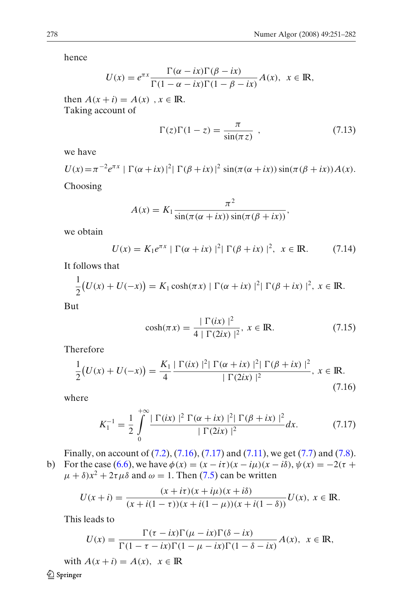<span id="page-27-0"></span>hence

$$
U(x) = e^{\pi x} \frac{\Gamma(\alpha - ix)\Gamma(\beta - ix)}{\Gamma(1 - \alpha - ix)\Gamma(1 - \beta - ix)} A(x), \ \ x \in \mathbb{R},
$$

then  $A(x + i) = A(x)$ ,  $x \in \mathbb{R}$ . Taking account of

$$
\Gamma(z)\Gamma(1-z) = \frac{\pi}{\sin(\pi z)} , \qquad (7.13)
$$

we have

$$
U(x) = \pi^{-2}e^{\pi x} \mid \Gamma(\alpha + ix)|^2 |\Gamma(\beta + ix)|^2 \sin(\pi(\alpha + ix))\sin(\pi(\beta + ix))A(x).
$$

Choosing

$$
A(x) = K_1 \frac{\pi^2}{\sin(\pi(\alpha + ix)) \sin(\pi(\beta + ix))},
$$

we obtain

$$
U(x) = K_1 e^{\pi x} \mid \Gamma(\alpha + ix) \mid^2 \mid \Gamma(\beta + ix) \mid^2, \ x \in \mathbb{R}.
$$
 (7.14)

It follows that

$$
\frac{1}{2}\big(U(x)+U(-x)\big)=K_1\cosh(\pi x)\mid\Gamma(\alpha+ix)\mid^2\mid\Gamma(\beta+ix)\mid^2, x\in\mathbb{R}.
$$

But

$$
\cosh(\pi x) = \frac{|\Gamma(ix)|^2}{4|\Gamma(2ix)|^2}, \ x \in \mathbb{R}.
$$
 (7.15)

Therefore

$$
\frac{1}{2}(U(x) + U(-x)) = \frac{K_1}{4} \frac{|\Gamma(ix)|^2 |\Gamma(\alpha + ix)|^2 |\Gamma(\beta + ix)|^2}{|\Gamma(2ix)|^2}, \, x \in \mathbb{R}.
$$
\n(7.16)

where

$$
K_1^{-1} = \frac{1}{2} \int_0^{+\infty} \frac{|\Gamma(ix)|^2 \Gamma(\alpha + ix)|^2 |\Gamma(\beta + ix)|^2}{|\Gamma(2ix)|^2} dx.
$$
 (7.17)

Finally, on account of [\(7.2\)](#page-25-0), (7.16), (7.17) and [\(7.11\)](#page-26-0), we get [\(7.7\)](#page-26-0) and [\(7.8\)](#page-26-0). b) For the case  $(6.6)$ , we have  $\phi(x) = (x - i\tau)(x - i\mu)(x - i\delta)$ ,  $\psi(x) = -2(\tau +$ 

 $\mu + \delta x^2 + 2\tau \mu \delta$  and  $\omega = 1$ . Then [\(7.5\)](#page-25-0) can be written

$$
U(x+i) = \frac{(x+i\tau)(x+i\mu)(x+i\delta)}{(x+i(1-\tau))(x+i(1-\mu))(x+i(1-\delta))}U(x), \ x \in \mathbb{R}.
$$

This leads to

$$
U(x) = \frac{\Gamma(\tau - ix)\Gamma(\mu - ix)\Gamma(\delta - ix)}{\Gamma(1 - \tau - ix)\Gamma(1 - \mu - ix)\Gamma(1 - \delta - ix)}A(x), \quad x \in \mathbb{R},
$$

with  $A(x + i) = A(x), x \in \mathbb{R}$ Springer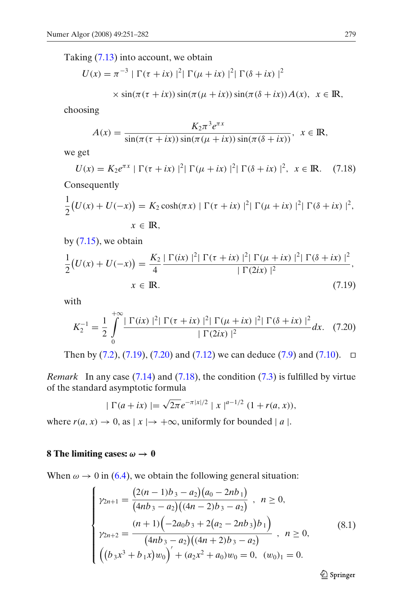<span id="page-28-0"></span>Taking [\(7.13\)](#page-27-0) into account, we obtain

$$
U(x) = \pi^{-3} |\Gamma(\tau + ix)|^2 |\Gamma(\mu + ix)|^2 |\Gamma(\delta + ix)|^2
$$

$$
\times \sin(\pi(\tau + ix))\sin(\pi(\mu + ix))\sin(\pi(\delta + ix))A(x), \ \ x \in \mathbb{R},
$$

choosing

$$
A(x) = \frac{K_2 \pi^3 e^{\pi x}}{\sin(\pi(\tau + ix)) \sin(\pi(\mu + ix)) \sin(\pi(\delta + ix))}, \quad x \in \mathbb{R},
$$

we get

$$
U(x) = K_2 e^{\pi x} \mid \Gamma(\tau + ix) \mid^2 \mid \Gamma(\mu + ix) \mid^2 \mid \Gamma(\delta + ix) \mid^2, \ x \in \mathbb{R}.
$$
 (7.18)

Consequently

$$
\frac{1}{2}(U(x) + U(-x)) = K_2 \cosh(\pi x) \mid \Gamma(\tau + ix) \mid^2 \mid \Gamma(\mu + ix) \mid^2 \mid \Gamma(\delta + ix) \mid^2,
$$
  

$$
x \in \mathbb{R},
$$

by  $(7.15)$ , we obtain

$$
\frac{1}{2}(U(x) + U(-x)) = \frac{K_2}{4} \frac{|\Gamma(ix)|^2 |\Gamma(\tau + ix)|^2 |\Gamma(\mu + ix)|^2 |\Gamma(\delta + ix)|^2}{|\Gamma(2ix)|^2},
$$
  
 $x \in \mathbb{R}.$  (7.19)

with

$$
K_2^{-1} = \frac{1}{2} \int_0^{+\infty} \frac{|\Gamma(ix)|^2 |\Gamma(\tau + ix)|^2 |\Gamma(\mu + ix)|^2 |\Gamma(\delta + ix)|^2}{|\Gamma(2ix)|^2} dx. \tag{7.20}
$$

Then by  $(7.2)$ ,  $(7.19)$ ,  $(7.20)$  and  $(7.12)$  we can deduce  $(7.9)$  and  $(7.10)$ .  $\Box$ 

*Remark* In any case [\(7.14\)](#page-27-0) and (7.18), the condition [\(7.3\)](#page-25-0) is fulfilled by virtue of the standard asymptotic formula

$$
|\Gamma(a+ix)| = \sqrt{2\pi}e^{-\pi|x|/2} |x|^{a-1/2} (1+r(a,x)),
$$

where  $r(a, x) \to 0$ , as  $|x| \to +\infty$ , uniformly for bounded  $|a|$ .

# **8 The limiting cases:**  $\omega \rightarrow 0$

When  $\omega \to 0$  in [\(6.4\)](#page-21-0), we obtain the following general situation:

$$
\begin{cases}\n\gamma_{2n+1} = \frac{(2(n-1)b_3 - a_2)(a_0 - 2nb_1)}{(4nb_3 - a_2)((4n-2)b_3 - a_2)}, & n \ge 0, \\
\gamma_{2n+2} = \frac{(n+1)(-2a_0b_3 + 2(a_2 - 2nb_3)b_1)}{(4nb_3 - a_2)((4n+2)b_3 - a_2)}, & n \ge 0, \\
\left((b_3x^3 + b_1x)w_0\right)' + (a_2x^2 + a_0)w_0 = 0, & (w_0)_1 = 0.\n\end{cases}
$$
\n(8.1)

2 Springer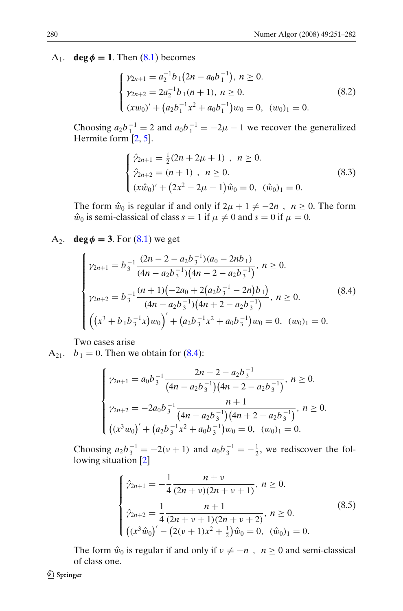<span id="page-29-0"></span>A<sub>1</sub>. **deg**  $\phi = 1$ . Then [\(8.1\)](#page-28-0) becomes

$$
\begin{cases}\n\gamma_{2n+1} = a_2^{-1} b_1 (2n - a_0 b_1^{-1}), \ n \ge 0. \\
\gamma_{2n+2} = 2a_2^{-1} b_1 (n+1), \ n \ge 0. \\
(xw_0)' + (a_2 b_1^{-1} x^2 + a_0 b_1^{-1}) w_0 = 0, \ (w_0)_1 = 0.\n\end{cases}
$$
\n(8.2)

Choosing  $a_2b_1^{-1} = 2$  and  $a_0b_1^{-1} = -2\mu - 1$  we recover the generalized Hermite form [\[2](#page-30-0), [5](#page-30-0)].

$$
\begin{cases}\n\hat{\gamma}_{2n+1} = \frac{1}{2}(2n + 2\mu + 1), & n \ge 0. \\
\hat{\gamma}_{2n+2} = (n+1), & n \ge 0.\n\end{cases}
$$
\n
$$
(8.3)
$$
\n
$$
(x\hat{w}_0)' + (2x^2 - 2\mu - 1)\hat{w}_0 = 0, \quad (\hat{w}_0)_1 = 0.
$$

The form  $\hat{w}_0$  is regular if and only if  $2\mu + 1 \neq -2n$ ,  $n \geq 0$ . The form  $\hat{w}_0$  is semi-classical of class  $s = 1$  if  $\mu \neq 0$  and  $s = 0$  if  $\mu = 0$ .

A<sub>2</sub>. **deg**  $\phi = 3$ . For [\(8.1\)](#page-28-0) we get

$$
\begin{cases}\n\gamma_{2n+1} = b_3^{-1} \frac{(2n-2-a_2b_3^{-1})(a_0-2nb_1)}{(4n-a_2b_3^{-1})(4n-2-a_2b_3^{-1})}, \ n \ge 0. \\
\gamma_{2n+2} = b_3^{-1} \frac{(n+1)(-2a_0+2(a_2b_3^{-1}-2n)b_1)}{(4n-a_2b_3^{-1})(4n+2-a_2b_3^{-1})}, \ n \ge 0. \\
\left( (x^3+b_1b_3^{-1}x)w_0 \right)' + (a_2b_3^{-1}x^2+a_0b_3^{-1})w_0 = 0, \ (w_0)_1 = 0.\n\end{cases}
$$
\n(8.4)

Two cases arise

 $A_{21}$ .  $b_1 = 0$ . Then we obtain for (8.4):

$$
\begin{cases}\n\gamma_{2n+1} = a_0 b_3^{-1} \frac{2n - 2 - a_2 b_3^{-1}}{(4n - a_2 b_3^{-1})(4n - 2 - a_2 b_3^{-1})}, \ n \ge 0. \\
\gamma_{2n+2} = -2a_0 b_3^{-1} \frac{n+1}{(4n - a_2 b_3^{-1})(4n + 2 - a_2 b_3^{-1})}, \ n \ge 0. \\
\left( (x^3 w_0)' + \left( a_2 b_3^{-1} x^2 + a_0 b_3^{-1} \right) w_0 = 0, \ (w_0)_1 = 0.\n\end{cases}
$$

Choosing  $a_2b_3^{-1} = -2(\nu + 1)$  and  $a_0b_3^{-1} = -\frac{1}{2}$ , we rediscover the following situation [\[2](#page-30-0)]

$$
\begin{cases}\n\hat{\gamma}_{2n+1} = -\frac{1}{4} \frac{n+v}{(2n+v)(2n+v+1)}, \ n \ge 0. \\
\hat{\gamma}_{2n+2} = \frac{1}{4} \frac{n+1}{(2n+v+1)(2n+v+2)}, \ n \ge 0. \\
\left( (x^3 \hat{w}_0)' - (2(\nu+1)x^2 + \frac{1}{2}) \hat{w}_0 = 0, \ (\hat{w}_0)_1 = 0.\n\end{cases}
$$
\n(8.5)

The form  $\hat{w}_0$  is regular if and only if  $v \neq -n$ ,  $n \geq 0$  and semi-classical of class one.

*A* Springer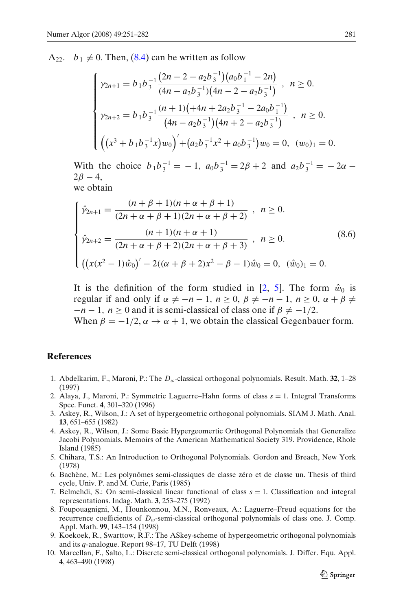<span id="page-30-0"></span> $A_{22}$ .  $b_1 \neq 0$ . Then, [\(8.4\)](#page-29-0) can be written as follow

$$
\begin{cases}\n\gamma_{2n+1} = b_1 b_3^{-1} \frac{(2n - 2 - a_2 b_3^{-1})(a_0 b_1^{-1} - 2n)}{(4n - a_2 b_3^{-1})(4n - 2 - a_2 b_3^{-1})}, & n \ge 0. \\
\gamma_{2n+2} = b_1 b_3^{-1} \frac{(n + 1)(+4n + 2a_2 b_3^{-1} - 2a_0 b_1^{-1})}{(4n - a_2 b_3^{-1})(4n + 2 - a_2 b_3^{-1})}, & n \ge 0. \\
\left( (x^3 + b_1 b_3^{-1} x) w_0 \right)' + (a_2 b_3^{-1} x^2 + a_0 b_3^{-1}) w_0 = 0, & (w_0)_1 = 0.\n\end{cases}
$$

With the choice  $b_1b_3^{-1} = -1$ ,  $a_0b_3^{-1} = 2\beta + 2$  and  $a_2b_3^{-1} = -2\alpha 2\beta - 4$ , we obtain

$$
\begin{cases}\n\hat{\gamma}_{2n+1} = \frac{(n+\beta+1)(n+\alpha+\beta+1)}{(2n+\alpha+\beta+1)(2n+\alpha+\beta+2)}, & n \ge 0. \\
\hat{\gamma}_{2n+2} = \frac{(n+1)(n+\alpha+1)}{(2n+\alpha+\beta+2)(2n+\alpha+\beta+3)}, & n \ge 0. \\
\left(\left(x(x^2-1)\hat{w}_0\right)' - 2((\alpha+\beta+2)x^2-\beta-1)\hat{w}_0 = 0, \ (\hat{w}_0)_1 = 0.\n\end{cases}
$$
\n(8.6)

It is the definition of the form studied in [2, 5]. The form  $\hat{w}_0$  is regular if and only if  $\alpha \neq -n-1$ ,  $n \geq 0$ ,  $\beta \neq -n-1$ ,  $n \geq 0$ ,  $\alpha + \beta \neq$  $-n-1$ ,  $n > 0$  and it is semi-classical of class one if  $\beta \neq -1/2$ .

When  $\beta = -1/2$ ,  $\alpha \rightarrow \alpha + 1$ , we obtain the classical Gegenbauer form.

#### **References**

- 1. Abdelkarim, F., Maroni, P.: The *D*ω-classical orthogonal polynomials. Result. Math. **32**, 1–28 (1997)
- 2. Alaya, J., Maroni, P.: Symmetric Laguerre–Hahn forms of class *s* = 1. Integral Transforms Spec. Funct. **4**, 301–320 (1996)
- 3. Askey, R., Wilson, J.: A set of hypergeometric orthogonal polynomials. SIAM J. Math. Anal. **13**, 651–655 (1982)
- 4. Askey, R., Wilson, J.: Some Basic Hypergeomertic Orthogonal Polynomials that Generalize Jacobi Polynomials. Memoirs of the American Mathematical Society 319. Providence, Rhole Island (1985)
- 5. Chihara, T.S.: An Introduction to Orthogonal Polynomials. Gordon and Breach, New York (1978)
- 6. Bachène, M.: Les polynômes semi-classiques de classe zéro et de classe un. Thesis of third cycle, Univ. P. and M. Curie, Paris (1985)
- 7. Belmehdi, S.: On semi-classical linear functional of class  $s = 1$ . Classification and integral representations. Indag. Math. **3**, 253–275 (1992)
- 8. Foupouagnigni, M., Hounkonnou, M.N., Ronveaux, A.: Laguerre–Freud equations for the recurrence coefficients of *D*ω-semi-classical orthogonal polynomials of class one. J. Comp. Appl. Math. **99**, 143–154 (1998)
- 9. Koekoek, R., Swarttow, R.F.: The ASkey-scheme of hypergeometric orthogonal polynomials and its *q*-analogue. Report 98–17, TU Delft (1998)
- 10. Marcellan, F., Salto, L.: Discrete semi-classical orthogonal polynomials. J. Differ. Equ. Appl. **4**, 463–490 (1998)